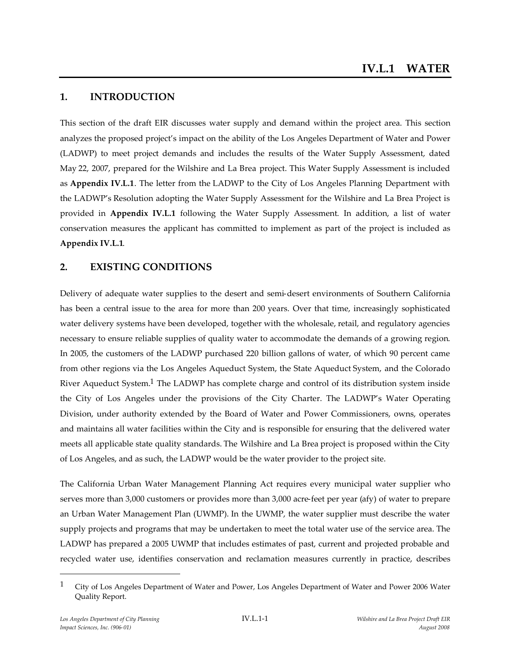# **1. INTRODUCTION**

This section of the draft EIR discusses water supply and demand within the project area. This section analyzes the proposed project's impact on the ability of the Los Angeles Department of Water and Power (LADWP) to meet project demands and includes the results of the Water Supply Assessment, dated May 22, 2007, prepared for the Wilshire and La Brea project. This Water Supply Assessment is included as **Appendix IV.L.1**. The letter from the LADWP to the City of Los Angeles Planning Department with the LADWP's Resolution adopting the Water Supply Assessment for the Wilshire and La Brea Project is provided in **Appendix IV.L.1** following the Water Supply Assessment. In addition, a list of water conservation measures the applicant has committed to implement as part of the project is included as **Appendix IV.L.1**.

# **2. EXISTING CONDITIONS**

Delivery of adequate water supplies to the desert and semi-desert environments of Southern California has been a central issue to the area for more than 200 years. Over that time, increasingly sophisticated water delivery systems have been developed, together with the wholesale, retail, and regulatory agencies necessary to ensure reliable supplies of quality water to accommodate the demands of a growing region. In 2005, the customers of the LADWP purchased 220 billion gallons of water, of which 90 percent came from other regions via the Los Angeles Aqueduct System, the State Aqueduct System, and the Colorado River Aqueduct System.<sup>1</sup> The LADWP has complete charge and control of its distribution system inside the City of Los Angeles under the provisions of the City Charter. The LADWP's Water Operating Division, under authority extended by the Board of Water and Power Commissioners, owns, operates and maintains all water facilities within the City and is responsible for ensuring that the delivered water meets all applicable state quality standards. The Wilshire and La Brea project is proposed within the City of Los Angeles, and as such, the LADWP would be the water provider to the project site.

The California Urban Water Management Planning Act requires every municipal water supplier who serves more than 3,000 customers or provides more than 3,000 acre-feet per year (afy) of water to prepare an Urban Water Management Plan (UWMP). In the UWMP, the water supplier must describe the water supply projects and programs that may be undertaken to meet the total water use of the service area. The LADWP has prepared a 2005 UWMP that includes estimates of past, current and projected probable and recycled water use, identifies conservation and reclamation measures currently in practice, describes

<sup>1</sup> City of Los Angeles Department of Water and Power, Los Angeles Department of Water and Power 2006 Water Quality Report.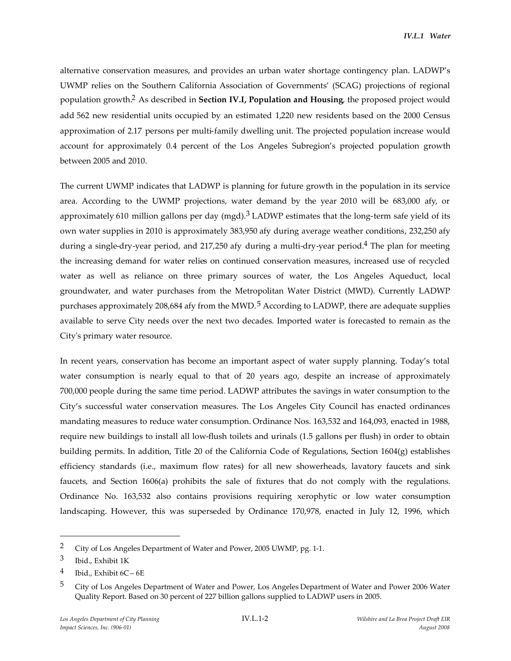alternative conservation measures, and provides an urban water shortage contingency plan. LADWP's UWMP relies on the Southern California Association of Governments' (SCAG) projections of regional population growth.2 As described in **Section IV.I, Population and Housing**, the proposed project would add 562 new residential units occupied by an estimated 1,220 new residents based on the 2000 Census approximation of 2.17 persons per multi-family dwelling unit. The projected population increase would account for approximately 0.4 percent of the Los Angeles Subregion's projected population growth between 2005 and 2010.

The current UWMP indicates that LADWP is planning for future growth in the population in its service area. According to the UWMP projections, water demand by the year 2010 will be 683,000 afy, or approximately 610 million gallons per day (mgd). $3$  LADWP estimates that the long-term safe yield of its own water supplies in 2010 is approximately 383,950 afy during average weather conditions, 232,250 afy during a single-dry-year period, and 217,250 afy during a multi-dry-year period.<sup>4</sup> The plan for meeting the increasing demand for water relies on continued conservation measures, increased use of recycled water as well as reliance on three primary sources of water, the Los Angeles Aqueduct, local groundwater, and water purchases from the Metropolitan Water District (MWD). Currently LADWP purchases approximately 208,684 afy from the MWD.<sup>5</sup> According to LADWP, there are adequate supplies available to serve City needs over the next two decades. Imported water is forecasted to remain as the City's primary water resource.

In recent years, conservation has become an important aspect of water supply planning. Today's total water consumption is nearly equal to that of 20 years ago, despite an increase of approximately 700,000 people during the same time period. LADWP attributes the savings in water consumption to the City's successful water conservation measures. The Los Angeles City Council has enacted ordinances mandating measures to reduce water consumption. Ordinance Nos. 163,532 and 164,093, enacted in 1988, require new buildings to install all low-flush toilets and urinals (1.5 gallons per flush) in order to obtain building permits. In addition, Title 20 of the California Code of Regulations, Section 1604(g) establishes efficiency standards (i.e., maximum flow rates) for all new showerheads, lavatory faucets and sink faucets, and Section 1606(a) prohibits the sale of fixtures that do not comply with the regulations. Ordinance No. 163,532 also contains provisions requiring xerophytic or low water consumption landscaping. However, this was superseded by Ordinance 170,978, enacted in July 12, 1996, which

<sup>2</sup> City of Los Angeles Department of Water and Power, 2005 UWMP, pg. 1-1.

<sup>3</sup> Ibid., Exhibit 1K

<sup>4</sup> Ibid., Exhibit  $6C - 6E$ 

<sup>5</sup> City of Los Angeles Department of Water and Power, Los Angeles Department of Water and Power 2006 Water Quality Report. Based on 30 percent of 227 billion gallons supplied to LADWP users in 2005.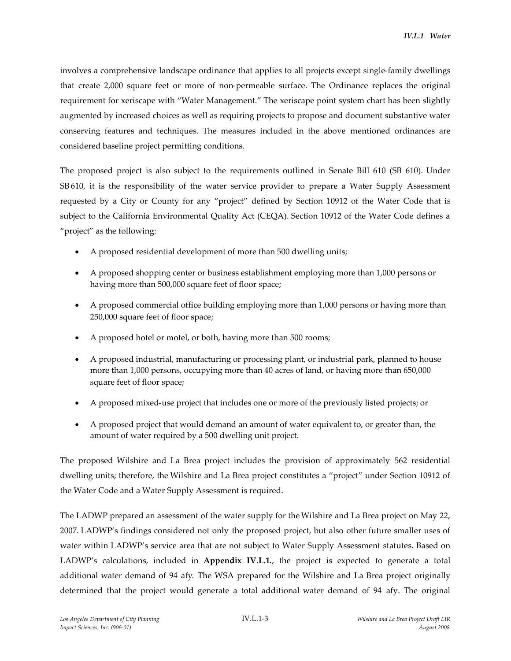involves a comprehensive landscape ordinance that applies to all projects except single-family dwellings that create 2,000 square feet or more of non-permeable surface. The Ordinance replaces the original requirement for xeriscape with "Water Management." The xeriscape point system chart has been slightly augmented by increased choices as well as requiring projects to propose and document substantive water conserving features and techniques. The measures included in the above mentioned ordinances are considered baseline project permitting conditions.

The proposed project is also subject to the requirements outlined in Senate Bill 610 (SB 610). Under SB 610, it is the responsibility of the water service provider to prepare a Water Supply Assessment requested by a City or County for any "project" defined by Section 10912 of the Water Code that is subject to the California Environmental Quality Act (CEQA). Section 10912 of the Water Code defines a "project" as the following:

- A proposed residential development of more than 500 dwelling units;
- A proposed shopping center or business establishment employing more than 1,000 persons or having more than 500,000 square feet of floor space;
- A proposed commercial office building employing more than 1,000 persons or having more than 250,000 square feet of floor space;
- A proposed hotel or motel, or both, having more than 500 rooms;
- A proposed industrial, manufacturing or processing plant, or industrial park, planned to house more than 1,000 persons, occupying more than 40 acres of land, or having more than 650,000 square feet of floor space;
- A proposed mixed-use project that includes one or more of the previously listed projects; or
- A proposed project that would demand an amount of water equivalent to, or greater than, the amount of water required by a 500 dwelling unit project.

The proposed Wilshire and La Brea project includes the provision of approximately 562 residential dwelling units; therefore, the Wilshire and La Brea project constitutes a "project" under Section 10912 of the Water Code and a Water Supply Assessment is required.

The LADWP prepared an assessment of the water supply for the Wilshire and La Brea project on May 22, 2007. LADWP's findings considered not only the proposed project, but also other future smaller uses of water within LADWP's service area that are not subject to Water Supply Assessment statutes. Based on LADWP's calculations, included in **Appendix IV.L.1.**, the project is expected to generate a total additional water demand of 94 afy. The WSA prepared for the Wilshire and La Brea project originally determined that the project would generate a total additional water demand of 94 afy. The original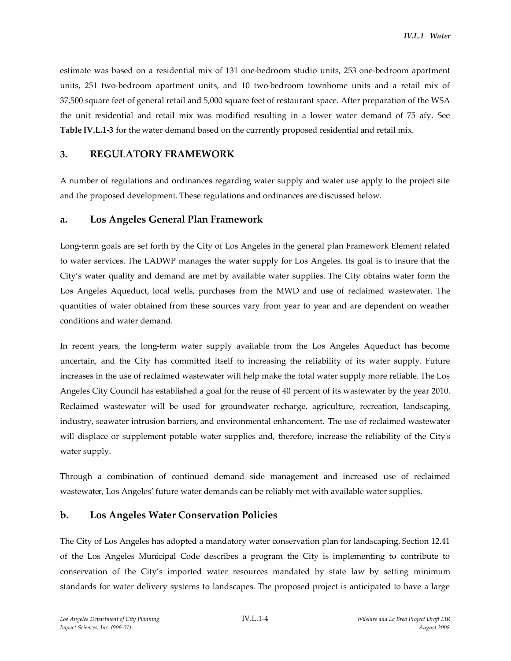estimate was based on a residential mix of 131 one-bedroom studio units, 253 one-bedroom apartment units, 251 two-bedroom apartment units, and 10 two-bedroom townhome units and a retail mix of 37,500 square feet of general retail and 5,000 square feet of restaurant space. After preparation of the WSA the unit residential and retail mix was modified resulting in a lower water demand of 75 afy. See **Table IV.L.1-3** for the water demand based on the currently proposed residential and retail mix.

## **3. REGULATORY FRAMEWORK**

A number of regulations and ordinances regarding water supply and water use apply to the project site and the proposed development. These regulations and ordinances are discussed below.

### **a. Los Angeles General Plan Framework**

Long-term goals are set forth by the City of Los Angeles in the general plan Framework Element related to water services. The LADWP manages the water supply for Los Angeles. Its goal is to insure that the City's water quality and demand are met by available water supplies. The City obtains water form the Los Angeles Aqueduct, local wells, purchases from the MWD and use of reclaimed wastewater. The quantities of water obtained from these sources vary from year to year and are dependent on weather conditions and water demand.

In recent years, the long-term water supply available from the Los Angeles Aqueduct has become uncertain, and the City has committed itself to increasing the reliability of its water supply. Future increases in the use of reclaimed wastewater will help make the total water supply more reliable. The Los Angeles City Council has established a goal for the reuse of 40 percent of its wastewater by the year 2010. Reclaimed wastewater will be used for groundwater recharge, agriculture, recreation, landscaping, industry, seawater intrusion barriers, and environmental enhancement. The use of reclaimed wastewater will displace or supplement potable water supplies and, therefore, increase the reliability of the City's water supply.

Through a combination of continued demand side management and increased use of reclaimed wastewater, Los Angeles' future water demands can be reliably met with available water supplies.

## **b. Los Angeles Water Conservation Policies**

The City of Los Angeles has adopted a mandatory water conservation plan for landscaping. Section 12.41 of the Los Angeles Municipal Code describes a program the City is implementing to contribute to conservation of the City's imported water resources mandated by state law by setting minimum standards for water delivery systems to landscapes. The proposed project is anticipated to have a large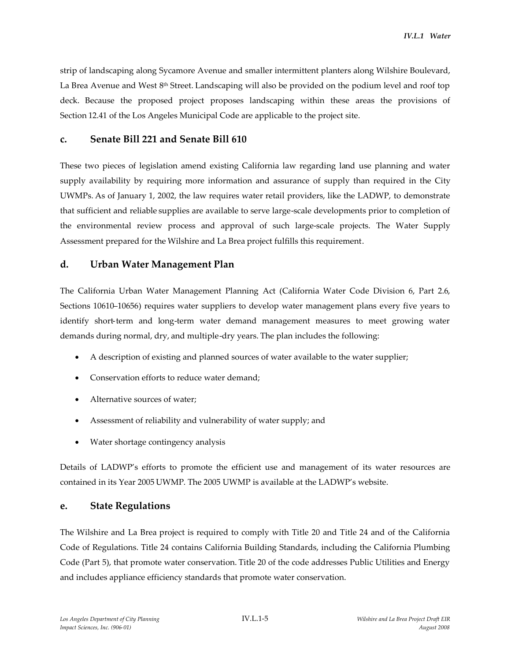strip of landscaping along Sycamore Avenue and smaller intermittent planters along Wilshire Boulevard, La Brea Avenue and West 8<sup>th</sup> Street. Landscaping will also be provided on the podium level and roof top deck. Because the proposed project proposes landscaping within these areas the provisions of Section 12.41 of the Los Angeles Municipal Code are applicable to the project site.

# **c. Senate Bill 221 and Senate Bill 610**

These two pieces of legislation amend existing California law regarding land use planning and water supply availability by requiring more information and assurance of supply than required in the City UWMPs. As of January 1, 2002, the law requires water retail providers, like the LADWP, to demonstrate that sufficient and reliable supplies are available to serve large-scale developments prior to completion of the environmental review process and approval of such large-scale projects. The Water Supply Assessment prepared for the Wilshire and La Brea project fulfills this requirement.

## **d. Urban Water Management Plan**

The California Urban Water Management Planning Act (California Water Code Division 6, Part 2.6, Sections 10610–10656) requires water suppliers to develop water management plans every five years to identify short-term and long-term water demand management measures to meet growing water demands during normal, dry, and multiple-dry years. The plan includes the following:

- A description of existing and planned sources of water available to the water supplier;
- Conservation efforts to reduce water demand:
- Alternative sources of water;
- Assessment of reliability and vulnerability of water supply; and
- Water shortage contingency analysis

Details of LADWP's efforts to promote the efficient use and management of its water resources are contained in its Year 2005 UWMP. The 2005 UWMP is available at the LADWP's website.

#### **e. State Regulations**

The Wilshire and La Brea project is required to comply with Title 20 and Title 24 and of the California Code of Regulations. Title 24 contains California Building Standards, including the California Plumbing Code (Part 5), that promote water conservation. Title 20 of the code addresses Public Utilities and Energy and includes appliance efficiency standards that promote water conservation.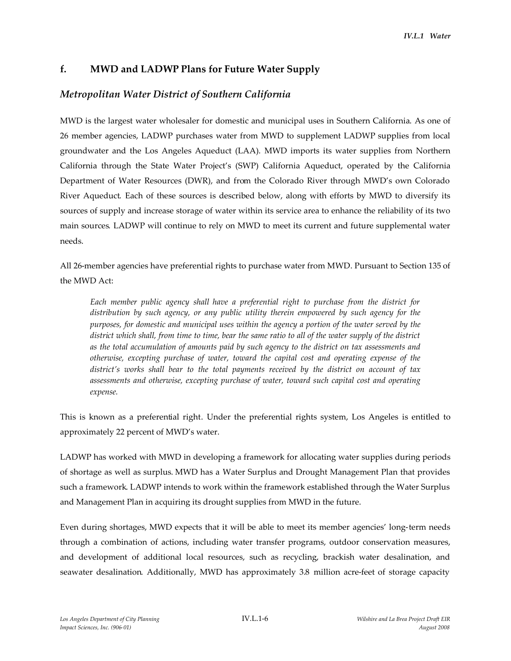# **f. MWD and LADWP Plans for Future Water Supply**

# *Metropolitan Water District of Southern California*

MWD is the largest water wholesaler for domestic and municipal uses in Southern California. As one of 26 member agencies, LADWP purchases water from MWD to supplement LADWP supplies from local groundwater and the Los Angeles Aqueduct (LAA). MWD imports its water supplies from Northern California through the State Water Project's (SWP) California Aqueduct, operated by the California Department of Water Resources (DWR), and from the Colorado River through MWD's own Colorado River Aqueduct. Each of these sources is described below, along with efforts by MWD to diversify its sources of supply and increase storage of water within its service area to enhance the reliability of its two main sources. LADWP will continue to rely on MWD to meet its current and future supplemental water needs.

All 26-member agencies have preferential rights to purchase water from MWD. Pursuant to Section 135 of the MWD Act:

*Each member public agency shall have a preferential right to purchase from the district for distribution by such agency, or any public utility therein empowered by such agency for the purposes, for domestic and municipal uses within the agency a portion of the water served by the district which shall, from time to time, bear the same ratio to all of the water supply of the district as the total accumulation of amounts paid by such agency to the district on tax assessments and otherwise, excepting purchase of water, toward the capital cost and operating expense of the district's works shall bear to the total payments received by the district on account of tax assessments and otherwise, excepting purchase of water, toward such capital cost and operating expense.*

This is known as a preferential right. Under the preferential rights system, Los Angeles is entitled to approximately 22 percent of MWD's water.

LADWP has worked with MWD in developing a framework for allocating water supplies during periods of shortage as well as surplus. MWD has a Water Surplus and Drought Management Plan that provides such a framework. LADWP intends to work within the framework established through the Water Surplus and Management Plan in acquiring its drought supplies from MWD in the future.

Even during shortages, MWD expects that it will be able to meet its member agencies' long-term needs through a combination of actions, including water transfer programs, outdoor conservation measures, and development of additional local resources, such as recycling, brackish water desalination, and seawater desalination. Additionally, MWD has approximately 3.8 million acre-feet of storage capacity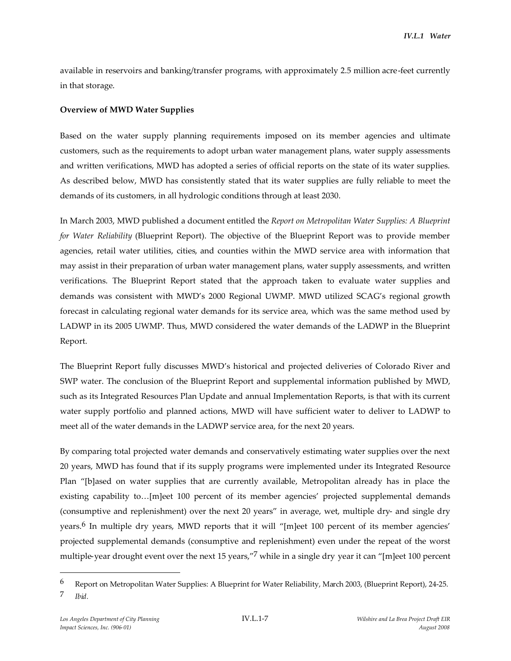available in reservoirs and banking/transfer programs, with approximately 2.5 million acre-feet currently in that storage.

### **Overview of MWD Water Supplies**

Based on the water supply planning requirements imposed on its member agencies and ultimate customers, such as the requirements to adopt urban water management plans, water supply assessments and written verifications, MWD has adopted a series of official reports on the state of its water supplies. As described below, MWD has consistently stated that its water supplies are fully reliable to meet the demands of its customers, in all hydrologic conditions through at least 2030.

In March 2003, MWD published a document entitled the *Report on Metropolitan Water Supplies: A Blueprint for Water Reliability* (Blueprint Report). The objective of the Blueprint Report was to provide member agencies, retail water utilities, cities, and counties within the MWD service area with information that may assist in their preparation of urban water management plans, water supply assessments, and written verifications. The Blueprint Report stated that the approach taken to evaluate water supplies and demands was consistent with MWD's 2000 Regional UWMP. MWD utilized SCAG's regional growth forecast in calculating regional water demands for its service area, which was the same method used by LADWP in its 2005 UWMP. Thus, MWD considered the water demands of the LADWP in the Blueprint Report.

The Blueprint Report fully discusses MWD's historical and projected deliveries of Colorado River and SWP water. The conclusion of the Blueprint Report and supplemental information published by MWD, such as its Integrated Resources Plan Update and annual Implementation Reports, is that with its current water supply portfolio and planned actions, MWD will have sufficient water to deliver to LADWP to meet all of the water demands in the LADWP service area, for the next 20 years.

By comparing total projected water demands and conservatively estimating water supplies over the next 20 years, MWD has found that if its supply programs were implemented under its Integrated Resource Plan "[b]ased on water supplies that are currently available, Metropolitan already has in place the existing capability to…[m]eet 100 percent of its member agencies' projected supplemental demands (consumptive and replenishment) over the next 20 years" in average, wet, multiple dry- and single dry years.6 In multiple dry years, MWD reports that it will "[m]eet 100 percent of its member agencies' projected supplemental demands (consumptive and replenishment) even under the repeat of the worst multiple-year drought event over the next 15 years,"<sup>7</sup> while in a single dry year it can "[m]eet 100 percent

<sup>6</sup> Report on Metropolitan Water Supplies: A Blueprint for Water Reliability, March 2003, (Blueprint Report), 24-25. 7 *Ibid.*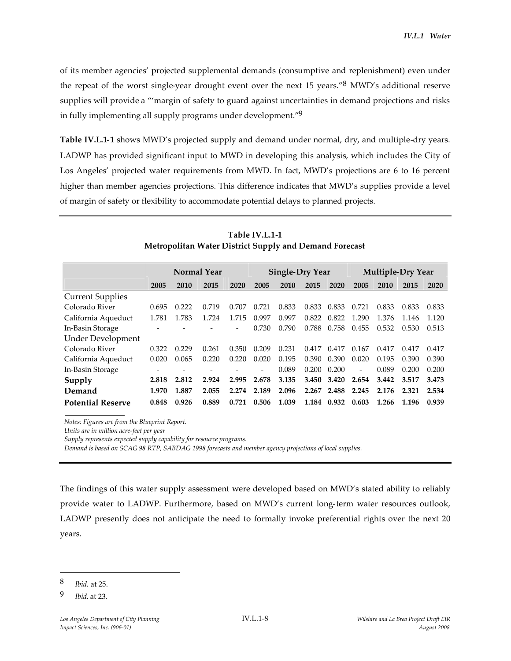of its member agencies' projected supplemental demands (consumptive and replenishment) even under the repeat of the worst single-year drought event over the next 15 years."8 MWD's additional reserve supplies will provide a "'margin of safety to guard against uncertainties in demand projections and risks in fully implementing all supply programs under development."<sup>9</sup>

**Table IV.L.1-1** shows MWD's projected supply and demand under normal, dry, and multiple-dry years. LADWP has provided significant input to MWD in developing this analysis, which includes the City of Los Angeles' projected water requirements from MWD. In fact, MWD's projections are 6 to 16 percent higher than member agencies projections. This difference indicates that MWD's supplies provide a level of margin of safety or flexibility to accommodate potential delays to planned projects.

|                          | <b>Normal Year</b> |       |       | <b>Single-Dry Year</b> |       |       | <b>Multiple-Dry Year</b> |       |                          |       |       |       |
|--------------------------|--------------------|-------|-------|------------------------|-------|-------|--------------------------|-------|--------------------------|-------|-------|-------|
|                          | 2005               | 2010  | 2015  | 2020                   | 2005  | 2010  | 2015                     | 2020  | 2005                     | 2010  | 2015  | 2020  |
| <b>Current Supplies</b>  |                    |       |       |                        |       |       |                          |       |                          |       |       |       |
| Colorado River           | 0.695              | 0.222 | 0.719 | 0.707                  | 0.721 | 0.833 | 0.833                    | 0.833 | 0.721                    | 0.833 | 0.833 | 0.833 |
| California Aqueduct      | 1.781              | 1.783 | 1.724 | 1.715                  | 0.997 | 0.997 | 0.822                    | 0.822 | 1.290                    | 1.376 | 1.146 | 1.120 |
| In-Basin Storage         |                    |       |       |                        | 0.730 | 0.790 | 0.788                    | 0.758 | 0.455                    | 0.532 | 0.530 | 0.513 |
| <b>Under Development</b> |                    |       |       |                        |       |       |                          |       |                          |       |       |       |
| Colorado River           | 0.322              | 0.229 | 0.261 | 0.350                  | 0.209 | 0.231 | 0.417                    | 0.417 | 0.167                    | 0.417 | 0.417 | 0.417 |
| California Aqueduct      | 0.020              | 0.065 | 0.220 | 0.220                  | 0.020 | 0.195 | 0.390                    | 0.390 | 0.020                    | 0.195 | 0.390 | 0.390 |
| In-Basin Storage         |                    |       |       |                        |       | 0.089 | 0.200                    | 0.200 | $\overline{\phantom{0}}$ | 0.089 | 0.200 | 0.200 |
| Supply                   | 2.818              | 2.812 | 2.924 | 2.995                  | 2.678 | 3.135 | 3.450                    | 3.420 | 2.654                    | 3.442 | 3.517 | 3.473 |
| Demand                   | 1.970              | 1.887 | 2.055 | 2.274                  | 2.189 | 2.096 | 2.267                    | 2.488 | 2.245                    | 2.176 | 2.321 | 2.534 |
| <b>Potential Reserve</b> | 0.848              | 0.926 | 0.889 | 0.721                  | 0.506 | 1.039 | 1.184                    | 0.932 | 0.603                    | 1.266 | 1.196 | 0.939 |

**Table IV.L.1-1 Metropolitan Water District Supply and Demand Forecast**

*Notes: Figures are from the Blueprint Report.*

*Units are in million acre-feet per year*

*Supply represents expected supply capability for resource programs.*

*Demand is based on SCAG 98 RTP, SABDAG 1998 forecasts and member agency projections of local supplies.*

The findings of this water supply assessment were developed based on MWD's stated ability to reliably provide water to LADWP. Furthermore, based on MWD's current long-term water resources outlook, LADWP presently does not anticipate the need to formally invoke preferential rights over the next 20 years.

<sup>8</sup> *Ibid*. at 25.

<sup>9</sup> *Ibid.* at 23.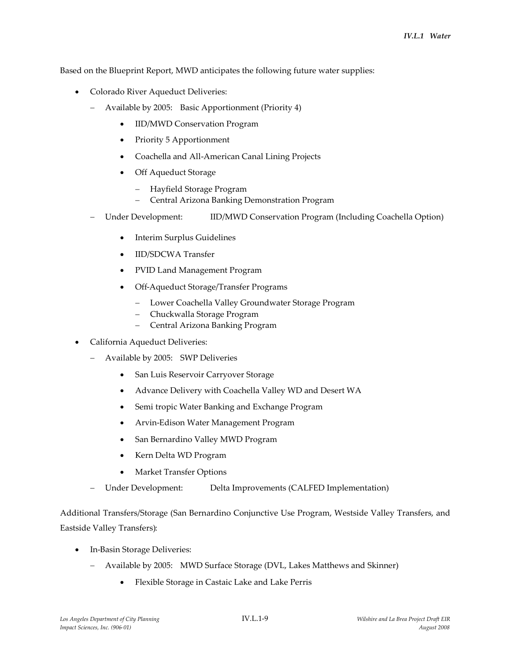Based on the Blueprint Report, MWD anticipates the following future water supplies:

- Colorado River Aqueduct Deliveries:
	- Available by 2005: Basic Apportionment (Priority 4)
		- IID/MWD Conservation Program
		- Priority 5 Apportionment
		- Coachella and All-American Canal Lining Projects
		- Off Aqueduct Storage
			- Hayfield Storage Program
			- Central Arizona Banking Demonstration Program
	- Under Development: IID/MWD Conservation Program (Including Coachella Option)
		- Interim Surplus Guidelines
		- IID/SDCWA Transfer
		- PVID Land Management Program
		- Off-Aqueduct Storage/Transfer Programs
			- Lower Coachella Valley Groundwater Storage Program
			- Chuckwalla Storage Program
			- Central Arizona Banking Program
- California Aqueduct Deliveries:
	- Available by 2005: SWP Deliveries
		- San Luis Reservoir Carryover Storage
		- Advance Delivery with Coachella Valley WD and Desert WA
		- Semi tropic Water Banking and Exchange Program
		- Arvin-Edison Water Management Program
		- San Bernardino Valley MWD Program
		- Kern Delta WD Program
		- Market Transfer Options
	- Under Development: Delta Improvements (CALFED Implementation)

Additional Transfers/Storage (San Bernardino Conjunctive Use Program, Westside Valley Transfers, and Eastside Valley Transfers):

- In-Basin Storage Deliveries:
	- Available by 2005: MWD Surface Storage (DVL, Lakes Matthews and Skinner)
		- Flexible Storage in Castaic Lake and Lake Perris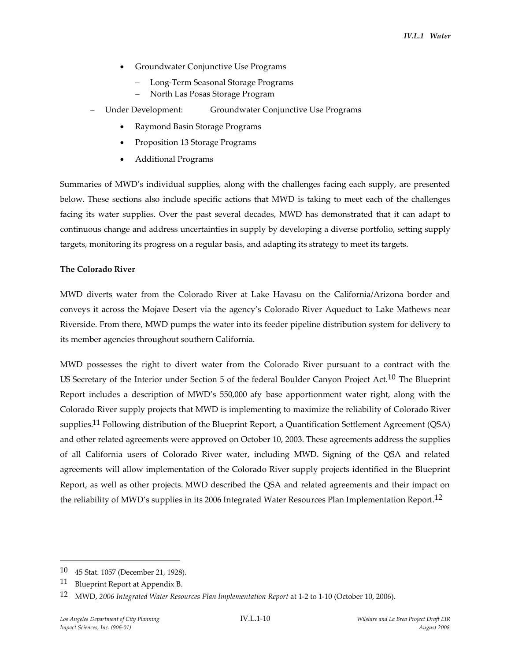- Groundwater Conjunctive Use Programs
	- Long-Term Seasonal Storage Programs
	- North Las Posas Storage Program
- Under Development: Groundwater Conjunctive Use Programs
	- Raymond Basin Storage Programs
	- Proposition 13 Storage Programs
	- Additional Programs

Summaries of MWD's individual supplies, along with the challenges facing each supply, are presented below. These sections also include specific actions that MWD is taking to meet each of the challenges facing its water supplies. Over the past several decades, MWD has demonstrated that it can adapt to continuous change and address uncertainties in supply by developing a diverse portfolio, setting supply targets, monitoring its progress on a regular basis, and adapting its strategy to meet its targets.

#### **The Colorado River**

MWD diverts water from the Colorado River at Lake Havasu on the California/Arizona border and conveys it across the Mojave Desert via the agency's Colorado River Aqueduct to Lake Mathews near Riverside. From there, MWD pumps the water into its feeder pipeline distribution system for delivery to its member agencies throughout southern California.

MWD possesses the right to divert water from the Colorado River pursuant to a contract with the US Secretary of the Interior under Section 5 of the federal Boulder Canyon Project Act.<sup>10</sup> The Blueprint Report includes a description of MWD's 550,000 afy base apportionment water right, along with the Colorado River supply projects that MWD is implementing to maximize the reliability of Colorado River supplies.<sup>11</sup> Following distribution of the Blueprint Report, a Quantification Settlement Agreement (QSA) and other related agreements were approved on October 10, 2003. These agreements address the supplies of all California users of Colorado River water, including MWD. Signing of the QSA and related agreements will allow implementation of the Colorado River supply projects identified in the Blueprint Report, as well as other projects. MWD described the QSA and related agreements and their impact on the reliability of MWD's supplies in its 2006 Integrated Water Resources Plan Implementation Report.<sup>12</sup>

<sup>10</sup> 45 Stat. 1057 (December 21, 1928).

<sup>11</sup> Blueprint Report at Appendix B.

<sup>12</sup> MWD, *2006 Integrated Water Resources Plan Implementation Report* at 1-2 to 1-10 (October 10, 2006).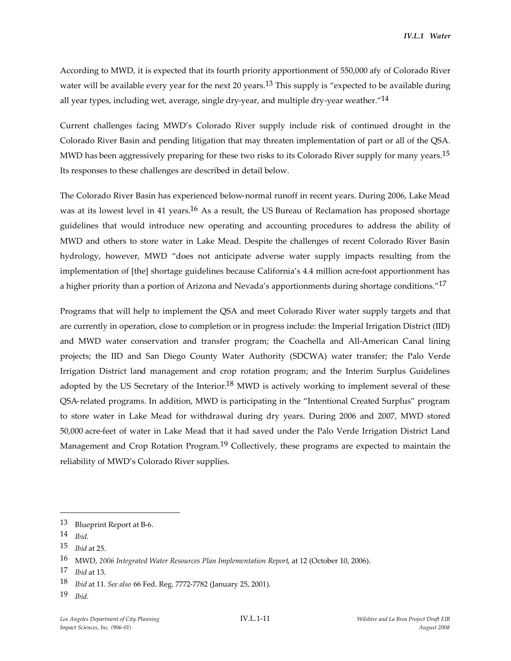According to MWD, it is expected that its fourth priority apportionment of 550,000 afy of Colorado River water will be available every year for the next 20 years.<sup>13</sup> This supply is "expected to be available during all year types, including wet, average, single dry-year, and multiple dry-year weather."<sup>14</sup>

Current challenges facing MWD's Colorado River supply include risk of continued drought in the Colorado River Basin and pending litigation that may threaten implementation of part or all of the QSA. MWD has been aggressively preparing for these two risks to its Colorado River supply for many years.<sup>15</sup> Its responses to these challenges are described in detail below.

The Colorado River Basin has experienced below-normal runoff in recent years. During 2006, Lake Mead was at its lowest level in 41 years.<sup>16</sup> As a result, the US Bureau of Reclamation has proposed shortage guidelines that would introduce new operating and accounting procedures to address the ability of MWD and others to store water in Lake Mead. Despite the challenges of recent Colorado River Basin hydrology, however, MWD "does not anticipate adverse water supply impacts resulting from the implementation of [the] shortage guidelines because California's 4.4 million acre-foot apportionment has a higher priority than a portion of Arizona and Nevada's apportionments during shortage conditions."<sup>17</sup>

Programs that will help to implement the QSA and meet Colorado River water supply targets and that are currently in operation, close to completion or in progress include: the Imperial Irrigation District (IID) and MWD water conservation and transfer program; the Coachella and All-American Canal lining projects; the IID and San Diego County Water Authority (SDCWA) water transfer; the Palo Verde Irrigation District land management and crop rotation program; and the Interim Surplus Guidelines adopted by the US Secretary of the Interior.<sup>18</sup> MWD is actively working to implement several of these QSA-related programs. In addition, MWD is participating in the "Intentional Created Surplus" program to store water in Lake Mead for withdrawal during dry years. During 2006 and 2007, MWD stored 50,000 acre-feet of water in Lake Mead that it had saved under the Palo Verde Irrigation District Land Management and Crop Rotation Program.<sup>19</sup> Collectively, these programs are expected to maintain the reliability of MWD's Colorado River supplies.

<sup>13</sup> Blueprint Report at B-6.

<sup>14</sup> *Ibid*.

<sup>15</sup> *Ibid* at 25.

<sup>16</sup> MWD, *2006 Integrated Water Resources Plan Implementation Report*, at 12 (October 10, 2006).

<sup>17</sup> *Ibid* at 13.

<sup>18</sup> *Ibid* at 11. *See also* 66 Fed. Reg. 7772-7782 (January 25, 2001).

<sup>19</sup> *Ibid*.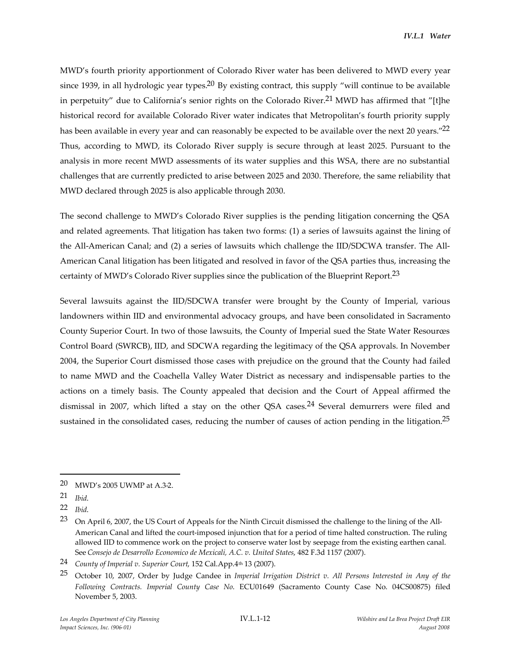MWD's fourth priority apportionment of Colorado River water has been delivered to MWD every year since 1939, in all hydrologic year types.<sup>20</sup> By existing contract, this supply "will continue to be available in perpetuity" due to California's senior rights on the Colorado River.<sup>21</sup> MWD has affirmed that "[t]he historical record for available Colorado River water indicates that Metropolitan's fourth priority supply has been available in every year and can reasonably be expected to be available over the next 20 years."<sup>22</sup> Thus, according to MWD, its Colorado River supply is secure through at least 2025. Pursuant to the analysis in more recent MWD assessments of its water supplies and this WSA, there are no substantial challenges that are currently predicted to arise between 2025 and 2030. Therefore, the same reliability that MWD declared through 2025 is also applicable through 2030.

The second challenge to MWD's Colorado River supplies is the pending litigation concerning the QSA and related agreements. That litigation has taken two forms: (1) a series of lawsuits against the lining of the All-American Canal; and (2) a series of lawsuits which challenge the IID/SDCWA transfer. The All-American Canal litigation has been litigated and resolved in favor of the QSA parties thus, increasing the certainty of MWD's Colorado River supplies since the publication of the Blueprint Report.<sup>23</sup>

Several lawsuits against the IID/SDCWA transfer were brought by the County of Imperial, various landowners within IID and environmental advocacy groups, and have been consolidated in Sacramento County Superior Court. In two of those lawsuits, the County of Imperial sued the State Water Resources Control Board (SWRCB), IID, and SDCWA regarding the legitimacy of the QSA approvals. In November 2004, the Superior Court dismissed those cases with prejudice on the ground that the County had failed to name MWD and the Coachella Valley Water District as necessary and indispensable parties to the actions on a timely basis. The County appealed that decision and the Court of Appeal affirmed the dismissal in 2007, which lifted a stay on the other QSA cases.<sup>24</sup> Several demurrers were filed and sustained in the consolidated cases, reducing the number of causes of action pending in the litigation.<sup>25</sup>

<sup>20</sup> MWD's 2005 UWMP at A.3-2.

<sup>21</sup> *Ibid*.

<sup>22</sup> *Ibid*.

<sup>23</sup> On April 6, 2007, the US Court of Appeals for the Ninth Circuit dismissed the challenge to the lining of the All-American Canal and lifted the court-imposed injunction that for a period of time halted construction. The ruling allowed IID to commence work on the project to conserve water lost by seepage from the existing earthen canal. See *Consejo de Desarrollo Economico de Mexicali, A.C. v. United States*, 482 F.3d 1157 (2007).

<sup>24</sup> *County of Imperial v. Superior Court*, 152 Cal.App.4th 13 (2007).

<sup>25</sup> October 10, 2007, Order by Judge Candee in *Imperial Irrigation District v. All Persons Interested in Any of the Following Contracts. Imperial County Case No*. ECU01649 (Sacramento County Case No. 04CS00875) filed November 5, 2003.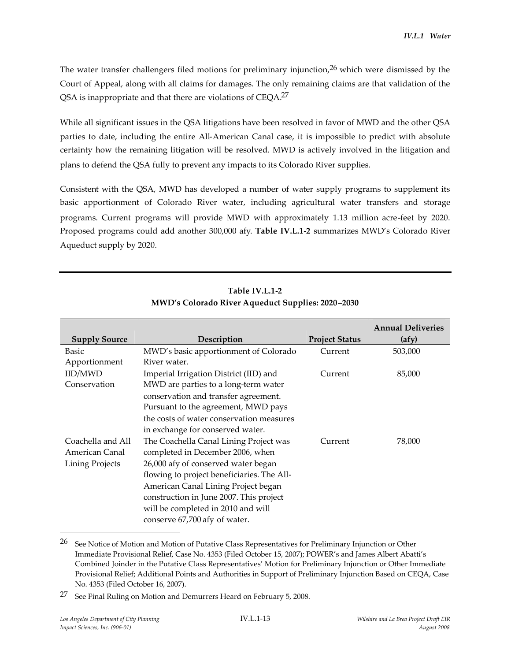The water transfer challengers filed motions for preliminary injunction,  $26$  which were dismissed by the Court of Appeal, along with all claims for damages. The only remaining claims are that validation of the QSA is inappropriate and that there are violations of CEQA.27

While all significant issues in the QSA litigations have been resolved in favor of MWD and the other QSA parties to date, including the entire All-American Canal case, it is impossible to predict with absolute certainty how the remaining litigation will be resolved. MWD is actively involved in the litigation and plans to defend the QSA fully to prevent any impacts to its Colorado River supplies.

Consistent with the QSA, MWD has developed a number of water supply programs to supplement its basic apportionment of Colorado River water, including agricultural water transfers and storage programs. Current programs will provide MWD with approximately 1.13 million acre-feet by 2020. Proposed programs could add another 300,000 afy. **Table IV.L.1-2** summarizes MWD's Colorado River Aqueduct supply by 2020.

|                        |                                            |                       | <b>Annual Deliveries</b> |
|------------------------|--------------------------------------------|-----------------------|--------------------------|
| <b>Supply Source</b>   | Description                                | <b>Project Status</b> | (afy)                    |
| Basic                  | MWD's basic apportionment of Colorado      | Current               | 503,000                  |
| Apportionment          | River water.                               |                       |                          |
| IID/MWD                | Imperial Irrigation District (IID) and     | Current               | 85,000                   |
| Conservation           | MWD are parties to a long-term water       |                       |                          |
|                        | conservation and transfer agreement.       |                       |                          |
|                        | Pursuant to the agreement, MWD pays        |                       |                          |
|                        | the costs of water conservation measures   |                       |                          |
|                        | in exchange for conserved water.           |                       |                          |
| Coachella and All      | The Coachella Canal Lining Project was     | Current               | 78,000                   |
| American Canal         | completed in December 2006, when           |                       |                          |
| <b>Lining Projects</b> | 26,000 afy of conserved water began        |                       |                          |
|                        | flowing to project beneficiaries. The All- |                       |                          |
|                        | American Canal Lining Project began        |                       |                          |
|                        | construction in June 2007. This project    |                       |                          |
|                        | will be completed in 2010 and will         |                       |                          |
|                        | conserve 67,700 afy of water.              |                       |                          |

# **Table IV.L.1-2 MWD's Colorado River Aqueduct Supplies: 2020–2030**

<sup>&</sup>lt;sup>26</sup> See Notice of Motion and Motion of Putative Class Representatives for Preliminary Injunction or Other Immediate Provisional Relief, Case No. 4353 (Filed October 15, 2007); POWER's and James Albert Abatti's Combined Joinder in the Putative Class Representatives' Motion for Preliminary Injunction or Other Immediate Provisional Relief; Additional Points and Authorities in Support of Preliminary Injunction Based on CEQA, Case No. 4353 (Filed October 16, 2007).

<sup>27</sup> See Final Ruling on Motion and Demurrers Heard on February 5, 2008.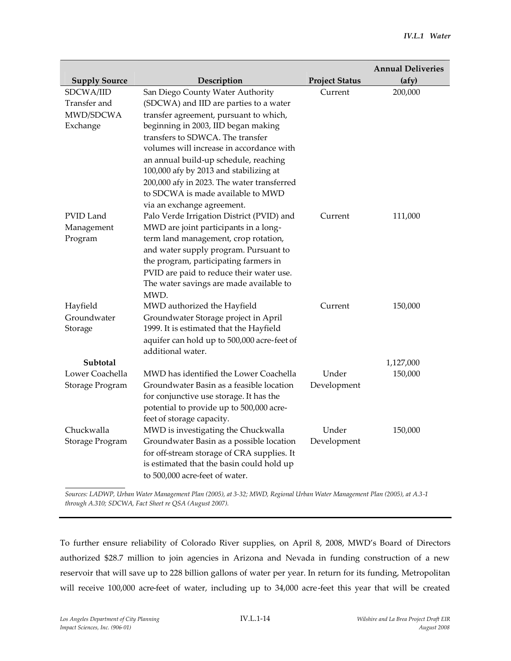|                      |                                             |                       | <b>Annual Deliveries</b> |
|----------------------|---------------------------------------------|-----------------------|--------------------------|
| <b>Supply Source</b> | Description                                 | <b>Project Status</b> | (afy)                    |
| SDCWA/IID            | San Diego County Water Authority            | Current               | 200,000                  |
| Transfer and         | (SDCWA) and IID are parties to a water      |                       |                          |
| MWD/SDCWA            | transfer agreement, pursuant to which,      |                       |                          |
| Exchange             | beginning in 2003, IID began making         |                       |                          |
|                      | transfers to SDWCA. The transfer            |                       |                          |
|                      | volumes will increase in accordance with    |                       |                          |
|                      | an annual build-up schedule, reaching       |                       |                          |
|                      | 100,000 afy by 2013 and stabilizing at      |                       |                          |
|                      | 200,000 afy in 2023. The water transferred  |                       |                          |
|                      | to SDCWA is made available to MWD           |                       |                          |
|                      | via an exchange agreement.                  |                       |                          |
| PVID Land            | Palo Verde Irrigation District (PVID) and   | Current               | 111,000                  |
| Management           | MWD are joint participants in a long-       |                       |                          |
| Program              | term land management, crop rotation,        |                       |                          |
|                      | and water supply program. Pursuant to       |                       |                          |
|                      | the program, participating farmers in       |                       |                          |
|                      | PVID are paid to reduce their water use.    |                       |                          |
|                      | The water savings are made available to     |                       |                          |
|                      | MWD.                                        |                       |                          |
| Hayfield             | MWD authorized the Hayfield                 | Current               | 150,000                  |
| Groundwater          | Groundwater Storage project in April        |                       |                          |
| Storage              | 1999. It is estimated that the Hayfield     |                       |                          |
|                      | aquifer can hold up to 500,000 acre-feet of |                       |                          |
|                      | additional water.                           |                       |                          |
| Subtotal             |                                             |                       | 1,127,000                |
| Lower Coachella      | MWD has identified the Lower Coachella      | Under                 | 150,000                  |
| Storage Program      | Groundwater Basin as a feasible location    | Development           |                          |
|                      | for conjunctive use storage. It has the     |                       |                          |
|                      | potential to provide up to 500,000 acre-    |                       |                          |
|                      | feet of storage capacity.                   |                       |                          |
| Chuckwalla           | MWD is investigating the Chuckwalla         | Under                 | 150,000                  |
| Storage Program      | Groundwater Basin as a possible location    | Development           |                          |
|                      | for off-stream storage of CRA supplies. It  |                       |                          |
|                      | is estimated that the basin could hold up   |                       |                          |
|                      | to 500,000 acre-feet of water.              |                       |                          |

*Sources: LADWP, Urban Water Management Plan (2005), at 3-32; MWD, Regional Urban Water Management Plan (2005), at A.3-1 through A.310; SDCWA, Fact Sheet re QSA (August 2007).*

To further ensure reliability of Colorado River supplies, on April 8, 2008, MWD's Board of Directors authorized \$28.7 million to join agencies in Arizona and Nevada in funding construction of a new reservoir that will save up to 228 billion gallons of water per year. In return for its funding, Metropolitan will receive 100,000 acre-feet of water, including up to 34,000 acre-feet this year that will be created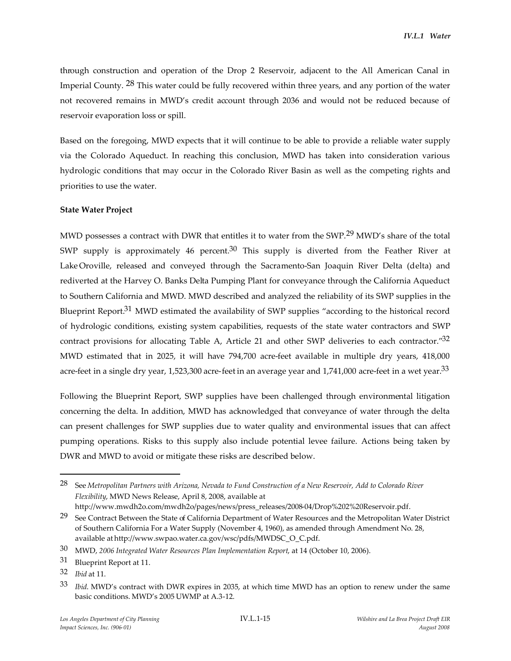through construction and operation of the Drop 2 Reservoir, adjacent to the All American Canal in Imperial County. 28 This water could be fully recovered within three years, and any portion of the water not recovered remains in MWD's credit account through 2036 and would not be reduced because of reservoir evaporation loss or spill.

Based on the foregoing, MWD expects that it will continue to be able to provide a reliable water supply via the Colorado Aqueduct. In reaching this conclusion, MWD has taken into consideration various hydrologic conditions that may occur in the Colorado River Basin as well as the competing rights and priorities to use the water.

#### **State Water Project**

MWD possesses a contract with DWR that entitles it to water from the SWP.<sup>29</sup> MWD's share of the total SWP supply is approximately 46 percent.<sup>30</sup> This supply is diverted from the Feather River at Lake Oroville, released and conveyed through the Sacramento-San Joaquin River Delta (delta) and rediverted at the Harvey O. Banks Delta Pumping Plant for conveyance through the California Aqueduct to Southern California and MWD. MWD described and analyzed the reliability of its SWP supplies in the Blueprint Report.31 MWD estimated the availability of SWP supplies "according to the historical record of hydrologic conditions, existing system capabilities, requests of the state water contractors and SWP contract provisions for allocating Table A, Article 21 and other SWP deliveries to each contractor."32 MWD estimated that in 2025, it will have 794,700 acre-feet available in multiple dry years, 418,000 acre-feet in a single dry year, 1,523,300 acre-feet in an average year and 1,741,000 acre-feet in a wet year.33

Following the Blueprint Report, SWP supplies have been challenged through environmental litigation concerning the delta. In addition, MWD has acknowledged that conveyance of water through the delta can present challenges for SWP supplies due to water quality and environmental issues that can affect pumping operations. Risks to this supply also include potential levee failure. Actions being taken by DWR and MWD to avoid or mitigate these risks are described below.

<sup>28</sup> See *Metropolitan Partners with Arizona, Nevada to Fund Construction of a New Reservoir, Add to Colorado River Flexibility*, MWD News Release, April 8, 2008, available at

http://www.mwdh2o.com/mwdh2o/pages/news/press\_releases/2008-04/Drop%202%20Reservoir.pdf.

 $29$  See Contract Between the State of California Department of Water Resources and the Metropolitan Water District of Southern California For a Water Supply (November 4, 1960), as amended through Amendment No. 28, available at http://www.swpao.water.ca.gov/wsc/pdfs/MWDSC\_O\_C.pdf.

<sup>30</sup> MWD, *2006 Integrated Water Resources Plan Implementation Report*, at 14 (October 10, 2006).

<sup>31</sup> Blueprint Report at 11.

<sup>32</sup> *Ibid* at 11.

<sup>33</sup> *Ibid*. MWD's contract with DWR expires in 2035, at which time MWD has an option to renew under the same basic conditions. MWD's 2005 UWMP at A.3-12.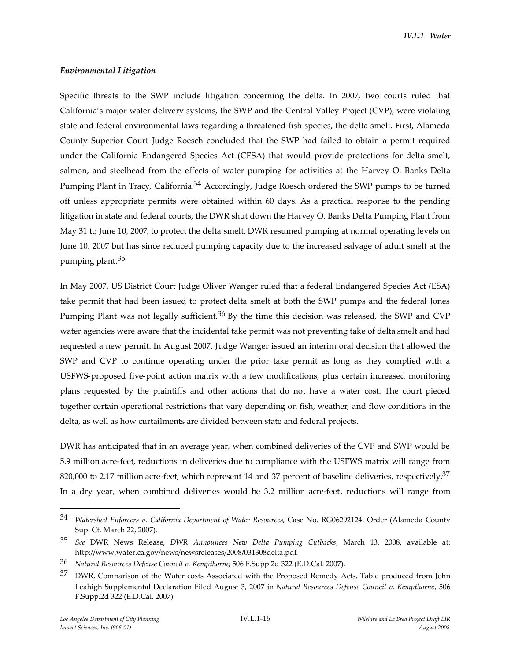#### *Environmental Litigation*

Specific threats to the SWP include litigation concerning the delta. In 2007, two courts ruled that California's major water delivery systems, the SWP and the Central Valley Project (CVP), were violating state and federal environmental laws regarding a threatened fish species, the delta smelt. First, Alameda County Superior Court Judge Roesch concluded that the SWP had failed to obtain a permit required under the California Endangered Species Act (CESA) that would provide protections for delta smelt, salmon, and steelhead from the effects of water pumping for activities at the Harvey O. Banks Delta Pumping Plant in Tracy, California.<sup>34</sup> Accordingly, Judge Roesch ordered the SWP pumps to be turned off unless appropriate permits were obtained within 60 days. As a practical response to the pending litigation in state and federal courts, the DWR shut down the Harvey O. Banks Delta Pumping Plant from May 31 to June 10, 2007, to protect the delta smelt. DWR resumed pumping at normal operating levels on June 10, 2007 but has since reduced pumping capacity due to the increased salvage of adult smelt at the pumping plant.35

In May 2007, US District Court Judge Oliver Wanger ruled that a federal Endangered Species Act (ESA) take permit that had been issued to protect delta smelt at both the SWP pumps and the federal Jones Pumping Plant was not legally sufficient.<sup>36</sup> By the time this decision was released, the SWP and CVP water agencies were aware that the incidental take permit was not preventing take of delta smelt and had requested a new permit. In August 2007, Judge Wanger issued an interim oral decision that allowed the SWP and CVP to continue operating under the prior take permit as long as they complied with a USFWS-proposed five-point action matrix with a few modifications, plus certain increased monitoring plans requested by the plaintiffs and other actions that do not have a water cost. The court pieced together certain operational restrictions that vary depending on fish, weather, and flow conditions in the delta, as well as how curtailments are divided between state and federal projects.

DWR has anticipated that in an average year, when combined deliveries of the CVP and SWP would be 5.9 million acre-feet, reductions in deliveries due to compliance with the USFWS matrix will range from 820,000 to 2.17 million acre-feet, which represent 14 and 37 percent of baseline deliveries, respectively. $37$ In a dry year, when combined deliveries would be 3.2 million acre-feet, reductions will range from

<sup>34</sup> *Watershed Enforcers v. California Department of Water Resources*, Case No. RG06292124. Order (Alameda County Sup. Ct. March 22, 2007).

<sup>35</sup> *See* DWR News Release, *DWR Announces New Delta Pumping Cutbacks*, March 13, 2008, available at: http://www.water.ca.gov/news/newsreleases/2008/031308delta.pdf.

<sup>36</sup> *Natural Resources Defense Council v. Kempthorne*, 506 F.Supp.2d 322 (E.D.Cal. 2007).

<sup>&</sup>lt;sup>37</sup> DWR, Comparison of the Water costs Associated with the Proposed Remedy Acts, Table produced from John Leahigh Supplemental Declaration Filed August 3, 2007 in *Natural Resources Defense Council v. Kempthorne*, 506 F.Supp.2d 322 (E.D.Cal. 2007).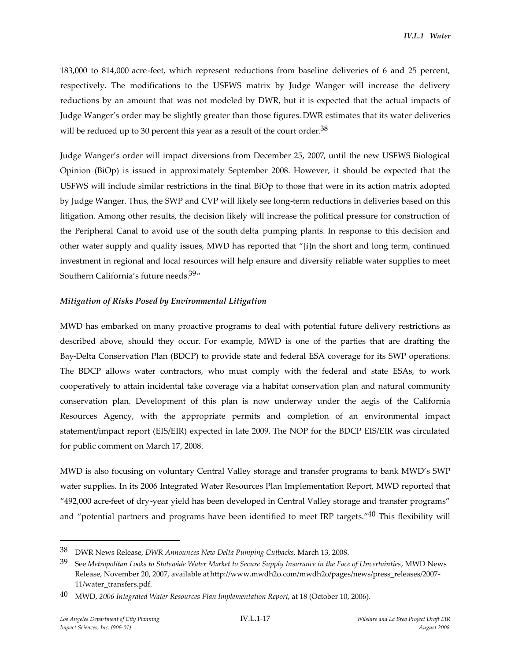183,000 to 814,000 acre-feet, which represent reductions from baseline deliveries of 6 and 25 percent, respectively. The modifications to the USFWS matrix by Judge Wanger will increase the delivery reductions by an amount that was not modeled by DWR, but it is expected that the actual impacts of Judge Wanger's order may be slightly greater than those figures. DWR estimates that its water deliveries will be reduced up to 30 percent this year as a result of the court order.<sup>38</sup>

Judge Wanger's order will impact diversions from December 25, 2007, until the new USFWS Biological Opinion (BiOp) is issued in approximately September 2008. However, it should be expected that the USFWS will include similar restrictions in the final BiOp to those that were in its action matrix adopted by Judge Wanger. Thus, the SWP and CVP will likely see long-term reductions in deliveries based on this litigation. Among other results, the decision likely will increase the political pressure for construction of the Peripheral Canal to avoid use of the south delta pumping plants. In response to this decision and other water supply and quality issues, MWD has reported that "[i]n the short and long term, continued investment in regional and local resources will help ensure and diversify reliable water supplies to meet Southern California's future needs.<sup>39</sup>"

#### *Mitigation of Risks Posed by Environmental Litigation*

MWD has embarked on many proactive programs to deal with potential future delivery restrictions as described above, should they occur. For example, MWD is one of the parties that are drafting the Bay-Delta Conservation Plan (BDCP) to provide state and federal ESA coverage for its SWP operations. The BDCP allows water contractors, who must comply with the federal and state ESAs, to work cooperatively to attain incidental take coverage via a habitat conservation plan and natural community conservation plan. Development of this plan is now underway under the aegis of the California Resources Agency, with the appropriate permits and completion of an environmental impact statement/impact report (EIS/EIR) expected in late 2009. The NOP for the BDCP EIS/EIR was circulated for public comment on March 17, 2008.

MWD is also focusing on voluntary Central Valley storage and transfer programs to bank MWD's SWP water supplies. In its 2006 Integrated Water Resources Plan Implementation Report, MWD reported that "492,000 acre-feet of dry-year yield has been developed in Central Valley storage and transfer programs" and "potential partners and programs have been identified to meet IRP targets."40 This flexibility will

<sup>38</sup> DWR News Release, *DWR Announces New Delta Pumping Cutbacks*, March 13, 2008.

<sup>39</sup> See *Metropolitan Looks to Statewide Water Market to Secure Supply Insurance in the Face of Uncertainties*, MWD News Release, November 20, 2007, available athttp://www.mwdh2o.com/mwdh2o/pages/news/press\_releases/2007- 11/water\_transfers.pdf.

<sup>40</sup> MWD, *2006 Integrated Water Resources Plan Implementation Report*, at 18 (October 10, 2006).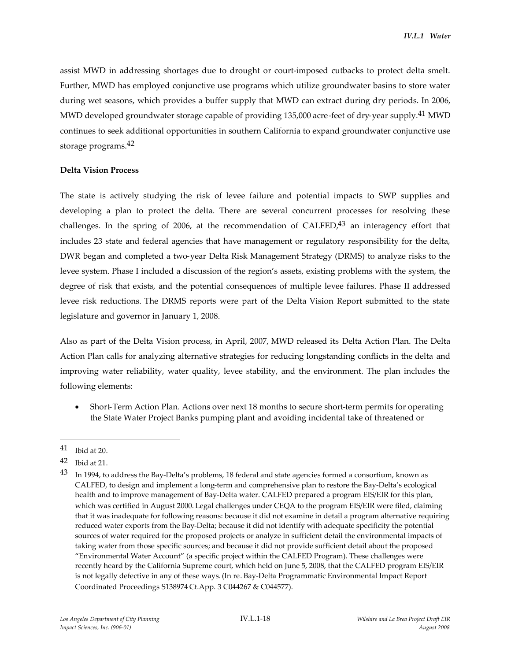assist MWD in addressing shortages due to drought or court-imposed cutbacks to protect delta smelt. Further, MWD has employed conjunctive use programs which utilize groundwater basins to store water during wet seasons, which provides a buffer supply that MWD can extract during dry periods. In 2006, MWD developed groundwater storage capable of providing 135,000 acre-feet of dry-year supply.<sup>41</sup> MWD continues to seek additional opportunities in southern California to expand groundwater conjunctive use storage programs.42

#### **Delta Vision Process**

The state is actively studying the risk of levee failure and potential impacts to SWP supplies and developing a plan to protect the delta. There are several concurrent processes for resolving these challenges. In the spring of 2006, at the recommendation of  $CALFED<sup>43</sup>$  an interagency effort that includes 23 state and federal agencies that have management or regulatory responsibility for the delta, DWR began and completed a two-year Delta Risk Management Strategy (DRMS) to analyze risks to the levee system. Phase I included a discussion of the region's assets, existing problems with the system, the degree of risk that exists, and the potential consequences of multiple levee failures. Phase II addressed levee risk reductions. The DRMS reports were part of the Delta Vision Report submitted to the state legislature and governor in January 1, 2008.

Also as part of the Delta Vision process, in April, 2007, MWD released its Delta Action Plan. The Delta Action Plan calls for analyzing alternative strategies for reducing longstanding conflicts in the delta and improving water reliability, water quality, levee stability, and the environment. The plan includes the following elements:

 Short-Term Action Plan. Actions over next 18 months to secure short-term permits for operating the State Water Project Banks pumping plant and avoiding incidental take of threatened or

<sup>41</sup> Ibid at 20.

<sup>42</sup> Ibid at 21.

 $43$  In 1994, to address the Bay-Delta's problems, 18 federal and state agencies formed a consortium, known as CALFED, to design and implement a long-term and comprehensive plan to restore the Bay-Delta's ecological health and to improve management of Bay-Delta water. CALFED prepared a program EIS/EIR for this plan, which was certified in August 2000. Legal challenges under CEQA to the program EIS/EIR were filed, claiming that it was inadequate for following reasons: because it did not examine in detail a program alternative requiring reduced water exports from the Bay-Delta; because it did not identify with adequate specificity the potential sources of water required for the proposed projects or analyze in sufficient detail the environmental impacts of taking water from those specific sources; and because it did not provide sufficient detail about the proposed "Environmental Water Account" (a specific project within the CALFED Program). These challenges were recently heard by the California Supreme court, which held on June 5, 2008, that the CALFED program EIS/EIR is not legally defective in any of these ways.(In re. Bay-Delta Programmatic Environmental Impact Report Coordinated Proceedings S138974 Ct.App. 3 C044267 & C044577).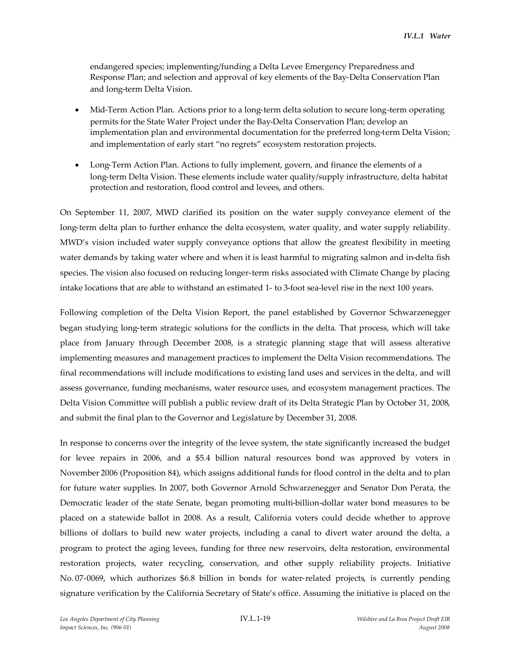endangered species; implementing/funding a Delta Levee Emergency Preparedness and Response Plan; and selection and approval of key elements of the Bay-Delta Conservation Plan and long-term Delta Vision.

- Mid-Term Action Plan. Actions prior to a long-term delta solution to secure long-term operating permits for the State Water Project under the Bay-Delta Conservation Plan; develop an implementation plan and environmental documentation for the preferred long-term Delta Vision; and implementation of early start "no regrets" ecosystem restoration projects.
- Long-Term Action Plan. Actions to fully implement, govern, and finance the elements of a long-term Delta Vision. These elements include water quality/supply infrastructure, delta habitat protection and restoration, flood control and levees, and others.

On September 11, 2007, MWD clarified its position on the water supply conveyance element of the long-term delta plan to further enhance the delta ecosystem, water quality, and water supply reliability. MWD's vision included water supply conveyance options that allow the greatest flexibility in meeting water demands by taking water where and when it is least harmful to migrating salmon and in-delta fish species. The vision also focused on reducing longer-term risks associated with Climate Change by placing intake locations that are able to withstand an estimated 1- to 3-foot sea-level rise in the next 100 years.

Following completion of the Delta Vision Report, the panel established by Governor Schwarzenegger began studying long-term strategic solutions for the conflicts in the delta. That process, which will take place from January through December 2008, is a strategic planning stage that will assess alterative implementing measures and management practices to implement the Delta Vision recommendations. The final recommendations will include modifications to existing land uses and services in the delta, and will assess governance, funding mechanisms, water resource uses, and ecosystem management practices. The Delta Vision Committee will publish a public review draft of its Delta Strategic Plan by October 31, 2008, and submit the final plan to the Governor and Legislature by December 31, 2008.

In response to concerns over the integrity of the levee system, the state significantly increased the budget for levee repairs in 2006, and a \$5.4 billion natural resources bond was approved by voters in November 2006 (Proposition 84), which assigns additional funds for flood control in the delta and to plan for future water supplies. In 2007, both Governor Arnold Schwarzenegger and Senator Don Perata, the Democratic leader of the state Senate, began promoting multi-billion-dollar water bond measures to be placed on a statewide ballot in 2008. As a result, California voters could decide whether to approve billions of dollars to build new water projects, including a canal to divert water around the delta, a program to protect the aging levees, funding for three new reservoirs, delta restoration, environmental restoration projects, water recycling, conservation, and other supply reliability projects. Initiative No. 07-0069, which authorizes \$6.8 billion in bonds for water-related projects, is currently pending signature verification by the California Secretary of State's office. Assuming the initiative is placed on the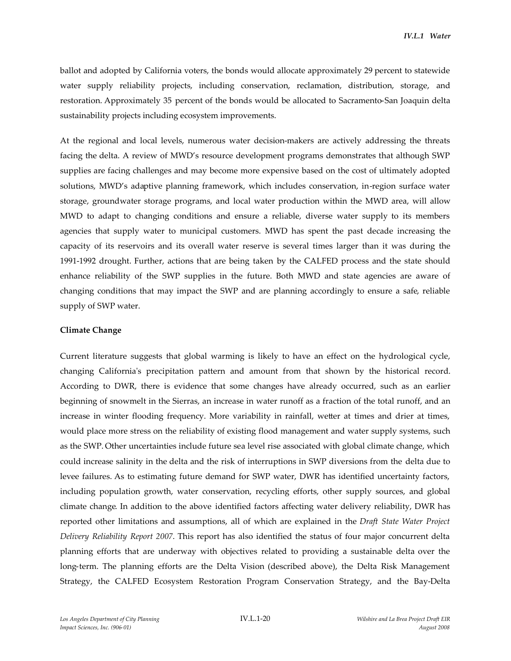ballot and adopted by California voters, the bonds would allocate approximately 29 percent to statewide water supply reliability projects, including conservation, reclamation, distribution, storage, and restoration. Approximately 35 percent of the bonds would be allocated to Sacramento-San Joaquin delta sustainability projects including ecosystem improvements.

At the regional and local levels, numerous water decision-makers are actively addressing the threats facing the delta. A review of MWD's resource development programs demonstrates that although SWP supplies are facing challenges and may become more expensive based on the cost of ultimately adopted solutions, MWD's adaptive planning framework, which includes conservation, in-region surface water storage, groundwater storage programs, and local water production within the MWD area, will allow MWD to adapt to changing conditions and ensure a reliable, diverse water supply to its members agencies that supply water to municipal customers. MWD has spent the past decade increasing the capacity of its reservoirs and its overall water reserve is several times larger than it was during the 1991-1992 drought. Further, actions that are being taken by the CALFED process and the state should enhance reliability of the SWP supplies in the future. Both MWD and state agencies are aware of changing conditions that may impact the SWP and are planning accordingly to ensure a safe, reliable supply of SWP water.

#### **Climate Change**

Current literature suggests that global warming is likely to have an effect on the hydrological cycle, changing California's precipitation pattern and amount from that shown by the historical record. According to DWR, there is evidence that some changes have already occurred, such as an earlier beginning of snowmelt in the Sierras, an increase in water runoff as a fraction of the total runoff, and an increase in winter flooding frequency. More variability in rainfall, wetter at times and drier at times, would place more stress on the reliability of existing flood management and water supply systems, such as the SWP. Other uncertainties include future sea level rise associated with global climate change, which could increase salinity in the delta and the risk of interruptions in SWP diversions from the delta due to levee failures. As to estimating future demand for SWP water, DWR has identified uncertainty factors, including population growth, water conservation, recycling efforts, other supply sources, and global climate change. In addition to the above identified factors affecting water delivery reliability, DWR has reported other limitations and assumptions, all of which are explained in the *Draft State Water Project Delivery Reliability Report 2007*. This report has also identified the status of four major concurrent delta planning efforts that are underway with objectives related to providing a sustainable delta over the long-term. The planning efforts are the Delta Vision (described above), the Delta Risk Management Strategy, the CALFED Ecosystem Restoration Program Conservation Strategy, and the Bay-Delta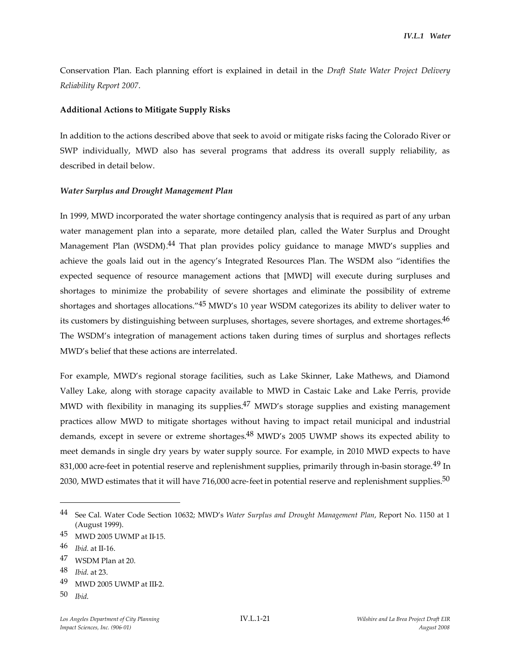Conservation Plan. Each planning effort is explained in detail in the *Draft State Water Project Delivery Reliability Report 2007*.

### **Additional Actions to Mitigate Supply Risks**

In addition to the actions described above that seek to avoid or mitigate risks facing the Colorado River or SWP individually, MWD also has several programs that address its overall supply reliability, as described in detail below.

### *Water Surplus and Drought Management Plan*

In 1999, MWD incorporated the water shortage contingency analysis that is required as part of any urban water management plan into a separate, more detailed plan, called the Water Surplus and Drought Management Plan (WSDM).<sup>44</sup> That plan provides policy guidance to manage MWD's supplies and achieve the goals laid out in the agency's Integrated Resources Plan. The WSDM also "identifies the expected sequence of resource management actions that [MWD] will execute during surpluses and shortages to minimize the probability of severe shortages and eliminate the possibility of extreme shortages and shortages allocations."45 MWD's 10 year WSDM categorizes its ability to deliver water to its customers by distinguishing between surpluses, shortages, severe shortages, and extreme shortages.<sup>46</sup> The WSDM's integration of management actions taken during times of surplus and shortages reflects MWD's belief that these actions are interrelated.

For example, MWD's regional storage facilities, such as Lake Skinner, Lake Mathews, and Diamond Valley Lake, along with storage capacity available to MWD in Castaic Lake and Lake Perris, provide MWD with flexibility in managing its supplies.<sup>47</sup> MWD's storage supplies and existing management practices allow MWD to mitigate shortages without having to impact retail municipal and industrial demands, except in severe or extreme shortages.48 MWD's 2005 UWMP shows its expected ability to meet demands in single dry years by water supply source. For example, in 2010 MWD expects to have 831,000 acre-feet in potential reserve and replenishment supplies, primarily through in-basin storage.<sup>49</sup> In 2030, MWD estimates that it will have 716,000 acre-feet in potential reserve and replenishment supplies.<sup>50</sup>

<sup>44</sup> See Cal. Water Code Section 10632; MWD's *Water Surplus and Drought Management Plan*, Report No. 1150 at 1 (August 1999).

<sup>45</sup> MWD 2005 UWMP at II-15.

<sup>46</sup> *Ibid*. at II-16.

<sup>47</sup> WSDM Plan at 20.

<sup>48</sup> *Ibid*. at 23.

<sup>49</sup> MWD 2005 UWMP at III-2.

<sup>50</sup> *Ibid*.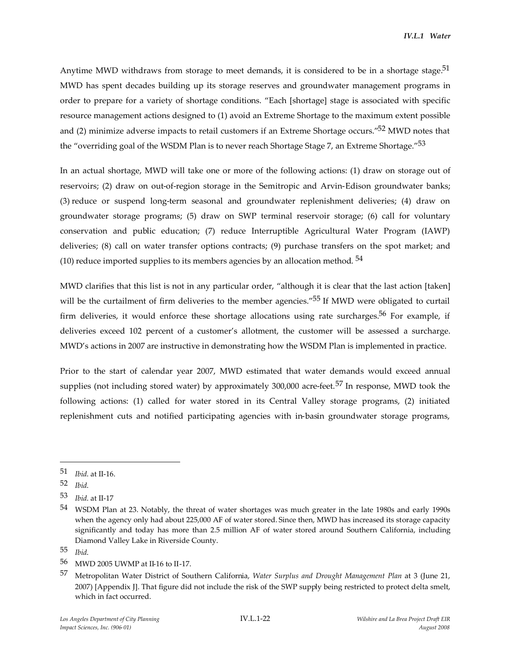Anytime MWD withdraws from storage to meet demands, it is considered to be in a shortage stage.<sup>51</sup> MWD has spent decades building up its storage reserves and groundwater management programs in order to prepare for a variety of shortage conditions. "Each [shortage] stage is associated with specific resource management actions designed to (1) avoid an Extreme Shortage to the maximum extent possible and (2) minimize adverse impacts to retail customers if an Extreme Shortage occurs."52 MWD notes that the "overriding goal of the WSDM Plan is to never reach Shortage Stage 7, an Extreme Shortage."53

In an actual shortage, MWD will take one or more of the following actions: (1) draw on storage out of reservoirs; (2) draw on out-of-region storage in the Semitropic and Arvin-Edison groundwater banks; (3) reduce or suspend long-term seasonal and groundwater replenishment deliveries; (4) draw on groundwater storage programs; (5) draw on SWP terminal reservoir storage; (6) call for voluntary conservation and public education; (7) reduce Interruptible Agricultural Water Program (IAWP) deliveries; (8) call on water transfer options contracts; (9) purchase transfers on the spot market; and (10) reduce imported supplies to its members agencies by an allocation method.  $54$ 

MWD clarifies that this list is not in any particular order, "although it is clear that the last action [taken] will be the curtailment of firm deliveries to the member agencies."<sup>55</sup> If MWD were obligated to curtail firm deliveries, it would enforce these shortage allocations using rate surcharges.<sup>56</sup> For example, if deliveries exceed 102 percent of a customer's allotment, the customer will be assessed a surcharge. MWD's actions in 2007 are instructive in demonstrating how the WSDM Plan is implemented in practice.

Prior to the start of calendar year 2007, MWD estimated that water demands would exceed annual supplies (not including stored water) by approximately 300,000 acre-feet.<sup>57</sup> In response, MWD took the following actions: (1) called for water stored in its Central Valley storage programs, (2) initiated replenishment cuts and notified participating agencies with in-basin groundwater storage programs,

<sup>51</sup> *Ibid*. at II-16.

<sup>52</sup> *Ibid*.

<sup>53</sup> *Ibid*. at II-17

<sup>54</sup> WSDM Plan at 23. Notably, the threat of water shortages was much greater in the late 1980s and early 1990s when the agency only had about 225,000 AF of water stored. Since then, MWD has increased its storage capacity significantly and today has more than 2.5 million AF of water stored around Southern California, including Diamond Valley Lake in Riverside County.

<sup>55</sup> *Ibid*.

<sup>56</sup> MWD 2005 UWMP at II-16 to II-17.

<sup>57</sup> Metropolitan Water District of Southern California, *Water Surplus and Drought Management Plan* at 3 (June 21, 2007) [Appendix J]. That figure did not include the risk of the SWP supply being restricted to protect delta smelt, which in fact occurred.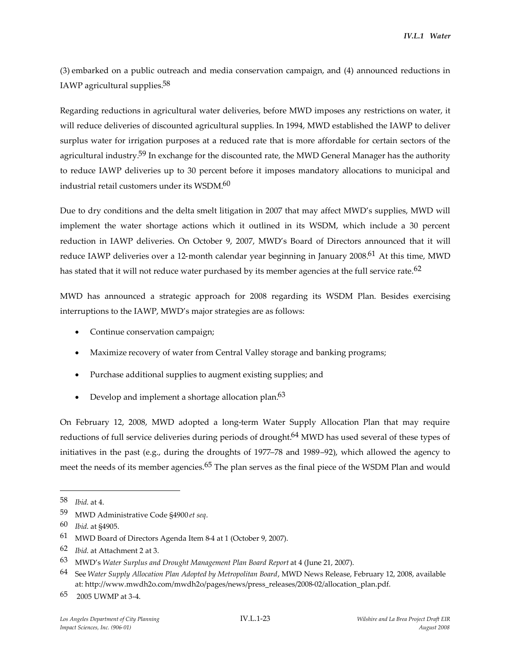(3) embarked on a public outreach and media conservation campaign, and (4) announced reductions in IAWP agricultural supplies.58

Regarding reductions in agricultural water deliveries, before MWD imposes any restrictions on water, it will reduce deliveries of discounted agricultural supplies. In 1994, MWD established the IAWP to deliver surplus water for irrigation purposes at a reduced rate that is more affordable for certain sectors of the agricultural industry.<sup>59</sup> In exchange for the discounted rate, the MWD General Manager has the authority to reduce IAWP deliveries up to 30 percent before it imposes mandatory allocations to municipal and industrial retail customers under its WSDM.60

Due to dry conditions and the delta smelt litigation in 2007 that may affect MWD's supplies, MWD will implement the water shortage actions which it outlined in its WSDM, which include a 30 percent reduction in IAWP deliveries. On October 9, 2007, MWD's Board of Directors announced that it will reduce IAWP deliveries over a 12-month calendar year beginning in January 2008.61 At this time, MWD has stated that it will not reduce water purchased by its member agencies at the full service rate.<sup>62</sup>

MWD has announced a strategic approach for 2008 regarding its WSDM Plan. Besides exercising interruptions to the IAWP, MWD's major strategies are as follows:

- Continue conservation campaign;
- Maximize recovery of water from Central Valley storage and banking programs;
- Purchase additional supplies to augment existing supplies; and
- Develop and implement a shortage allocation plan.<sup>63</sup>

On February 12, 2008, MWD adopted a long-term Water Supply Allocation Plan that may require reductions of full service deliveries during periods of drought.<sup>64</sup> MWD has used several of these types of initiatives in the past (e.g., during the droughts of 1977–78 and 1989–92), which allowed the agency to meet the needs of its member agencies.<sup>65</sup> The plan serves as the final piece of the WSDM Plan and would

<sup>58</sup> *Ibid*. at 4.

<sup>59</sup> MWD Administrative Code §4900 *et seq*.

<sup>60</sup> *Ibid*. at §4905.

<sup>61</sup> MWD Board of Directors Agenda Item 8-4 at 1 (October 9, 2007).

<sup>62</sup> *Ibid*. at Attachment 2 at 3.

<sup>63</sup> MWD's *Water Surplus and Drought Management Plan Board Report* at 4 (June 21, 2007).

<sup>64</sup> See *Water Supply Allocation Plan Adopted by Metropolitan Board*, MWD News Release, February 12, 2008, available at: http://www.mwdh2o.com/mwdh2o/pages/news/press\_releases/2008-02/allocation\_plan.pdf.

<sup>65</sup> 2005 UWMP at 3-4.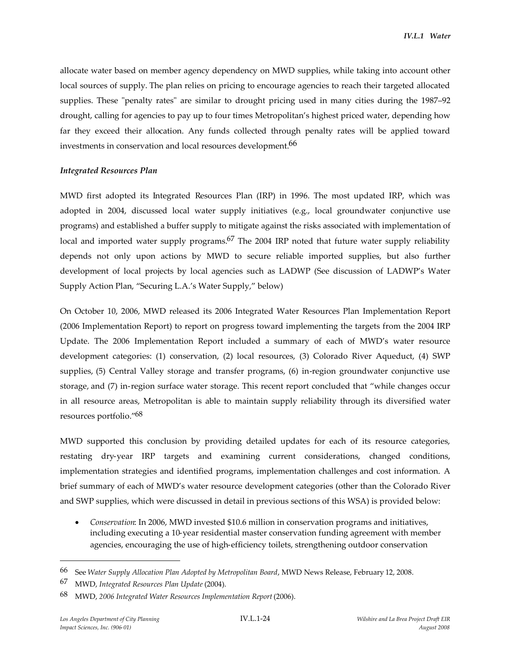allocate water based on member agency dependency on MWD supplies, while taking into account other local sources of supply. The plan relies on pricing to encourage agencies to reach their targeted allocated supplies. These "penalty rates" are similar to drought pricing used in many cities during the 1987–92 drought, calling for agencies to pay up to four times Metropolitan's highest priced water, depending how far they exceed their allocation. Any funds collected through penalty rates will be applied toward investments in conservation and local resources development.66

#### *Integrated Resources Plan*

MWD first adopted its Integrated Resources Plan (IRP) in 1996. The most updated IRP, which was adopted in 2004, discussed local water supply initiatives (e.g., local groundwater conjunctive use programs) and established a buffer supply to mitigate against the risks associated with implementation of local and imported water supply programs.<sup>67</sup> The 2004 IRP noted that future water supply reliability depends not only upon actions by MWD to secure reliable imported supplies, but also further development of local projects by local agencies such as LADWP (See discussion of LADWP's Water Supply Action Plan, "Securing L.A.'s Water Supply," below)

On October 10, 2006, MWD released its 2006 Integrated Water Resources Plan Implementation Report (2006 Implementation Report) to report on progress toward implementing the targets from the 2004 IRP Update. The 2006 Implementation Report included a summary of each of MWD's water resource development categories: (1) conservation, (2) local resources, (3) Colorado River Aqueduct, (4) SWP supplies, (5) Central Valley storage and transfer programs, (6) in-region groundwater conjunctive use storage, and (7) in-region surface water storage. This recent report concluded that "while changes occur in all resource areas, Metropolitan is able to maintain supply reliability through its diversified water resources portfolio."68

MWD supported this conclusion by providing detailed updates for each of its resource categories, restating dry-year IRP targets and examining current considerations, changed conditions, implementation strategies and identified programs, implementation challenges and cost information. A brief summary of each of MWD's water resource development categories (other than the Colorado River and SWP supplies, which were discussed in detail in previous sections of this WSA) is provided below:

 *Conservation*: In 2006, MWD invested \$10.6 million in conservation programs and initiatives, including executing a 10-year residential master conservation funding agreement with member agencies, encouraging the use of high-efficiency toilets, strengthening outdoor conservation

<sup>66</sup> See *Water Supply Allocation Plan Adopted by Metropolitan Board*, MWD News Release, February 12, 2008.

<sup>67</sup> MWD, *Integrated Resources Plan Update* (2004).

<sup>68</sup> MWD, *2006 Integrated Water Resources Implementation Report* (2006).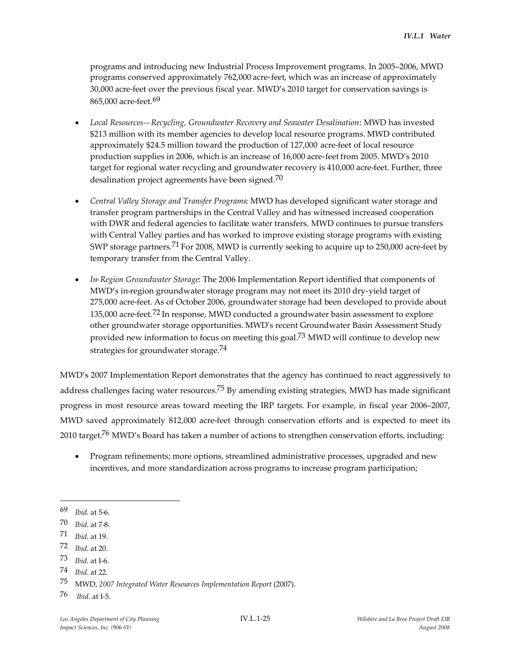programs and introducing new Industrial Process Improvement programs. In 2005–2006, MWD programs conserved approximately 762,000 acre-feet, which was an increase of approximately 30,000 acre-feet over the previous fiscal year. MWD's 2010 target for conservation savings is 865,000 acre-feet. 69

- *Local Resources—Recycling, Groundwater Recovery and Seawater Desalination*: MWD has invested \$213 million with its member agencies to develop local resource programs. MWD contributed approximately \$24.5 million toward the production of 127,000 acre-feet of local resource production supplies in 2006, which is an increase of 16,000 acre-feet from 2005. MWD's 2010 target for regional water recycling and groundwater recovery is 410,000 acre-feet. Further, three desalination project agreements have been signed.<sup>70</sup>
- *Central Valley Storage and Transfer Programs*: MWD has developed significant water storage and transfer program partnerships in the Central Valley and has witnessed increased cooperation with DWR and federal agencies to facilitate water transfers. MWD continues to pursue transfers with Central Valley parties and has worked to improve existing storage programs with existing SWP storage partners.<sup>71</sup> For 2008, MWD is currently seeking to acquire up to 250,000 acre-feet by temporary transfer from the Central Valley.
- *In-Region Groundwater Storage*: The 2006 Implementation Report identified that components of MWD's in-region groundwater storage program may not meet its 2010 dry-yield target of 275,000 acre-feet. As of October 2006, groundwater storage had been developed to provide about 135,000 acre-feet.<sup>72</sup> In response, MWD conducted a groundwater basin assessment to explore other groundwater storage opportunities. MWD's recent Groundwater Basin Assessment Study provided new information to focus on meeting this goal.<sup>73</sup> MWD will continue to develop new strategies for groundwater storage.<sup>74</sup>

MWD's 2007 Implementation Report demonstrates that the agency has continued to react aggressively to address challenges facing water resources.<sup>75</sup> By amending existing strategies, MWD has made significant progress in most resource areas toward meeting the IRP targets. For example, in fiscal year 2006–2007, MWD saved approximately 812,000 acre-feet through conservation efforts and is expected to meet its 2010 target.<sup>76</sup> MWD's Board has taken a number of actions to strengthen conservation efforts, including:

 Program refinements; more options, streamlined administrative processes, upgraded and new incentives, and more standardization across programs to increase program participation;

73 *Ibid*. at I-6.

<sup>69</sup> *Ibid*. at 5-6.

<sup>70</sup> *Ibid*. at 7-8.

<sup>71</sup> *Ibid*. at 19.

<sup>72</sup> *Ibid*. at 20.

<sup>74</sup> *Ibid*. at 22.

<sup>75</sup> MWD, *2007 Integrated Water Resources Implementation Report* (2007).

<sup>76</sup> *Ibid*. at I-5.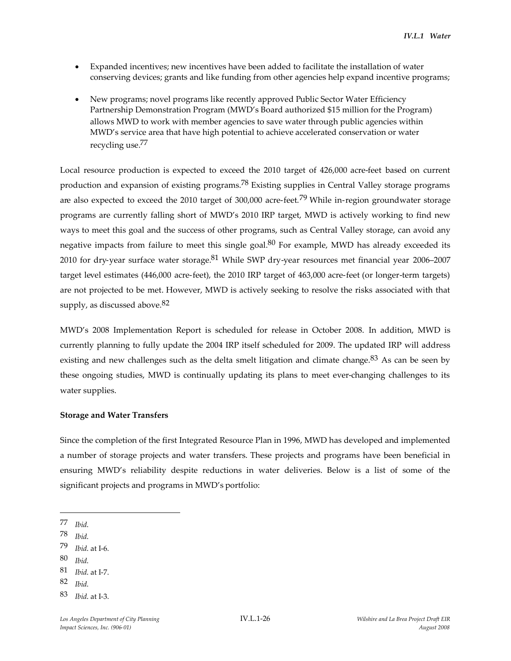- Expanded incentives; new incentives have been added to facilitate the installation of water conserving devices; grants and like funding from other agencies help expand incentive programs;
- New programs; novel programs like recently approved Public Sector Water Efficiency Partnership Demonstration Program (MWD's Board authorized \$15 million for the Program) allows MWD to work with member agencies to save water through public agencies within MWD's service area that have high potential to achieve accelerated conservation or water recycling use.77

Local resource production is expected to exceed the 2010 target of 426,000 acre-feet based on current production and expansion of existing programs.78 Existing supplies in Central Valley storage programs are also expected to exceed the 2010 target of 300,000 acre-feet.<sup>79</sup> While in-region groundwater storage programs are currently falling short of MWD's 2010 IRP target, MWD is actively working to find new ways to meet this goal and the success of other programs, such as Central Valley storage, can avoid any negative impacts from failure to meet this single goal.<sup>80</sup> For example, MWD has already exceeded its 2010 for dry-year surface water storage.<sup>81</sup> While SWP dry-year resources met financial year 2006–2007 target level estimates (446,000 acre-feet), the 2010 IRP target of 463,000 acre-feet (or longer-term targets) are not projected to be met. However, MWD is actively seeking to resolve the risks associated with that supply, as discussed above.  $82$ 

MWD's 2008 Implementation Report is scheduled for release in October 2008. In addition, MWD is currently planning to fully update the 2004 IRP itself scheduled for 2009. The updated IRP will address existing and new challenges such as the delta smelt litigation and climate change.<sup>83</sup> As can be seen by these ongoing studies, MWD is continually updating its plans to meet ever-changing challenges to its water supplies.

#### **Storage and Water Transfers**

Since the completion of the first Integrated Resource Plan in 1996, MWD has developed and implemented a number of storage projects and water transfers. These projects and programs have been beneficial in ensuring MWD's reliability despite reductions in water deliveries. Below is a list of some of the significant projects and programs in MWD's portfolio:

80 *Ibid*.

<sup>77</sup> *Ibid*.

<sup>78</sup> *Ibid*.

<sup>79</sup> *Ibid*. at I-6.

<sup>81</sup> *Ibid*. at I-7.

<sup>82</sup> *Ibid*.

<sup>83</sup> *Ibid*. at I-3.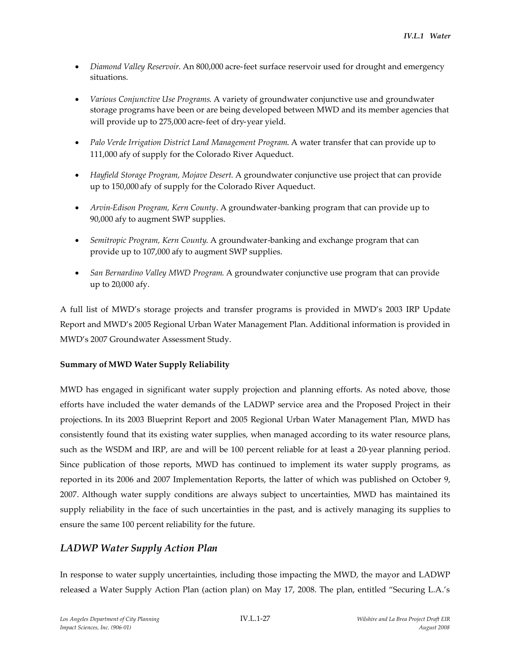- *Diamond Valley Reservoir*. An 800,000 acre-feet surface reservoir used for drought and emergency situations.
- *Various Conjunctive Use Programs*. A variety of groundwater conjunctive use and groundwater storage programs have been or are being developed between MWD and its member agencies that will provide up to 275,000 acre-feet of dry-year yield.
- *Palo Verde Irrigation District Land Management Program*. A water transfer that can provide up to 111,000 afy of supply for the Colorado River Aqueduct.
- *Hayfield Storage Program, Mojave Desert*. A groundwater conjunctive use project that can provide up to 150,000 afy of supply for the Colorado River Aqueduct.
- *Arvin-Edison Program, Kern County*. A groundwater-banking program that can provide up to 90,000 afy to augment SWP supplies.
- *Semitropic Program, Kern County*. A groundwater-banking and exchange program that can provide up to 107,000 afy to augment SWP supplies.
- *San Bernardino Valley MWD Program*. A groundwater conjunctive use program that can provide up to 20,000 afy.

A full list of MWD's storage projects and transfer programs is provided in MWD's 2003 IRP Update Report and MWD's 2005 Regional Urban Water Management Plan. Additional information is provided in MWD's 2007 Groundwater Assessment Study.

## **Summary of MWD Water Supply Reliability**

MWD has engaged in significant water supply projection and planning efforts. As noted above, those efforts have included the water demands of the LADWP service area and the Proposed Project in their projections. In its 2003 Blueprint Report and 2005 Regional Urban Water Management Plan, MWD has consistently found that its existing water supplies, when managed according to its water resource plans, such as the WSDM and IRP, are and will be 100 percent reliable for at least a 20-year planning period. Since publication of those reports, MWD has continued to implement its water supply programs, as reported in its 2006 and 2007 Implementation Reports, the latter of which was published on October 9, 2007. Although water supply conditions are always subject to uncertainties, MWD has maintained its supply reliability in the face of such uncertainties in the past, and is actively managing its supplies to ensure the same 100 percent reliability for the future.

# *LADWP Water Supply Action Plan*

In response to water supply uncertainties, including those impacting the MWD, the mayor and LADWP released a Water Supply Action Plan (action plan) on May 17, 2008. The plan, entitled "Securing L.A.'s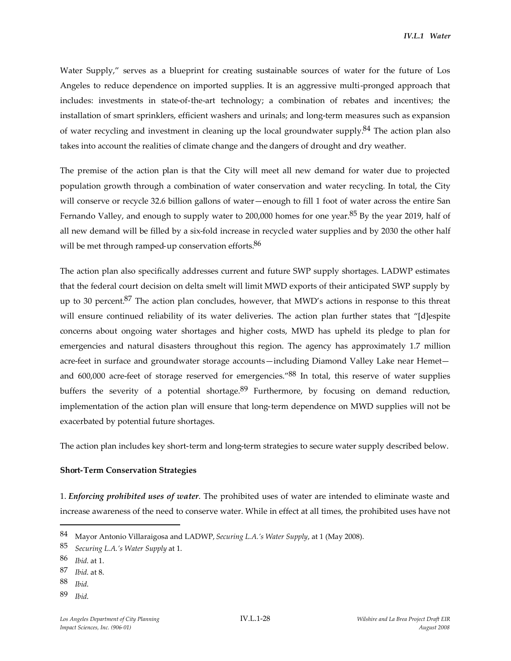Water Supply," serves as a blueprint for creating sustainable sources of water for the future of Los Angeles to reduce dependence on imported supplies. It is an aggressive multi-pronged approach that includes: investments in state-of-the-art technology; a combination of rebates and incentives; the installation of smart sprinklers, efficient washers and urinals; and long-term measures such as expansion of water recycling and investment in cleaning up the local groundwater supply.<sup>84</sup> The action plan also takes into account the realities of climate change and the dangers of drought and dry weather.

The premise of the action plan is that the City will meet all new demand for water due to projected population growth through a combination of water conservation and water recycling. In total, the City will conserve or recycle 32.6 billion gallons of water—enough to fill 1 foot of water across the entire San Fernando Valley, and enough to supply water to 200,000 homes for one year.<sup>85</sup> By the year 2019, half of all new demand will be filled by a six-fold increase in recycled water supplies and by 2030 the other half will be met through ramped-up conservation efforts.<sup>86</sup>

The action plan also specifically addresses current and future SWP supply shortages. LADWP estimates that the federal court decision on delta smelt will limit MWD exports of their anticipated SWP supply by up to 30 percent.<sup>87</sup> The action plan concludes, however, that MWD's actions in response to this threat will ensure continued reliability of its water deliveries. The action plan further states that "[d]espite concerns about ongoing water shortages and higher costs, MWD has upheld its pledge to plan for emergencies and natural disasters throughout this region. The agency has approximately 1.7 million acre-feet in surface and groundwater storage accounts—including Diamond Valley Lake near Hemet and 600,000 acre-feet of storage reserved for emergencies."<sup>88</sup> In total, this reserve of water supplies buffers the severity of a potential shortage. $89$  Furthermore, by focusing on demand reduction, implementation of the action plan will ensure that long-term dependence on MWD supplies will not be exacerbated by potential future shortages.

The action plan includes key short-term and long-term strategies to secure water supply described below.

#### **Short-Term Conservation Strategies**

1. *Enforcing prohibited uses of water*. The prohibited uses of water are intended to eliminate waste and increase awareness of the need to conserve water. While in effect at all times, the prohibited uses have not

89 *Ibid*.

<sup>84</sup> Mayor Antonio Villaraigosa and LADWP, *Securing L.A.'s Water Supply*, at 1 (May 2008).

<sup>85</sup> *Securing L.A.'s Water Supply* at 1.

<sup>86</sup> *Ibid*. at 1.

<sup>87</sup> *Ibid*. at 8.

<sup>88</sup> *Ibid*.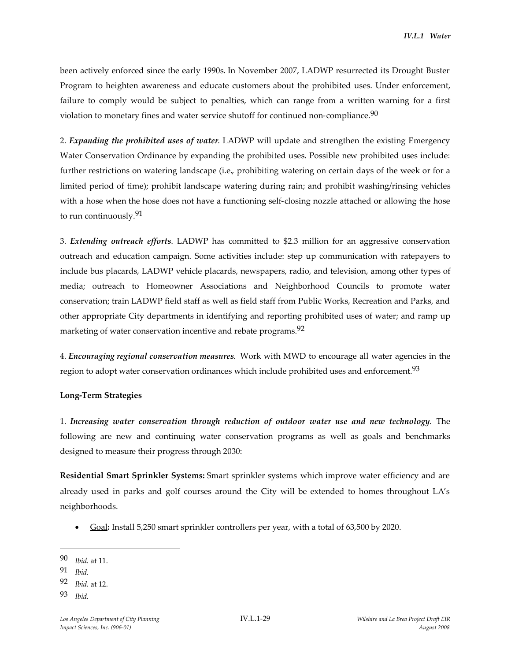been actively enforced since the early 1990s. In November 2007, LADWP resurrected its Drought Buster Program to heighten awareness and educate customers about the prohibited uses. Under enforcement, failure to comply would be subject to penalties, which can range from a written warning for a first violation to monetary fines and water service shutoff for continued non-compliance.<sup>90</sup>

2. *Expanding the prohibited uses of water*. LADWP will update and strengthen the existing Emergency Water Conservation Ordinance by expanding the prohibited uses. Possible new prohibited uses include: further restrictions on watering landscape (i.e., prohibiting watering on certain days of the week or for a limited period of time); prohibit landscape watering during rain; and prohibit washing/rinsing vehicles with a hose when the hose does not have a functioning self-closing nozzle attached or allowing the hose to run continuously.91

3. *Extending outreach efforts*. LADWP has committed to \$2.3 million for an aggressive conservation outreach and education campaign. Some activities include: step up communication with ratepayers to include bus placards, LADWP vehicle placards, newspapers, radio, and television, among other types of media; outreach to Homeowner Associations and Neighborhood Councils to promote water conservation; train LADWP field staff as well as field staff from Public Works, Recreation and Parks, and other appropriate City departments in identifying and reporting prohibited uses of water; and ramp up marketing of water conservation incentive and rebate programs.<sup>92</sup>

4. *Encouraging regional conservation measures*. Work with MWD to encourage all water agencies in the region to adopt water conservation ordinances which include prohibited uses and enforcement.<sup>93</sup>

#### **Long-Term Strategies**

1. *Increasing water conservation through reduction of outdoor water use and new technology*. The following are new and continuing water conservation programs as well as goals and benchmarks designed to measure their progress through 2030:

**Residential Smart Sprinkler Systems:** Smart sprinkler systems which improve water efficiency and are already used in parks and golf courses around the City will be extended to homes throughout LA's neighborhoods.

Goal**:** Install 5,250 smart sprinkler controllers per year, with a total of 63,500 by 2020.

<sup>90</sup> *Ibid*. at 11.

<sup>91</sup> *Ibid*.

<sup>92</sup> *Ibid*. at 12.

<sup>93</sup> *Ibid*.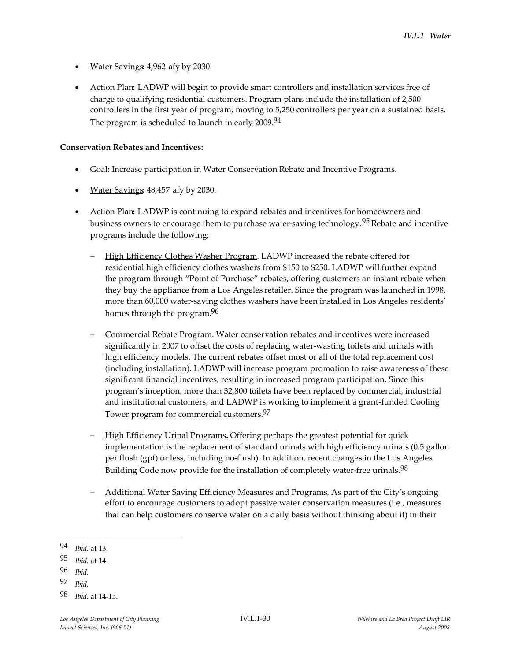- Water Savings**:** 4,962 afy by 2030.
- Action Plan**:** LADWP will begin to provide smart controllers and installation services free of charge to qualifying residential customers. Program plans include the installation of 2,500 controllers in the first year of program, moving to 5,250 controllers per year on a sustained basis. The program is scheduled to launch in early  $2009^{94}$

### **Conservation Rebates and Incentives:**

- Goal**:** Increase participation in Water Conservation Rebate and Incentive Programs.
- Water Savings**:** 48,457 afy by 2030.
- Action Plan**:** LADWP is continuing to expand rebates and incentives for homeowners and business owners to encourage them to purchase water-saving technology.95 Rebate and incentive programs include the following:
	- High Efficiency Clothes Washer Program. LADWP increased the rebate offered for residential high efficiency clothes washers from \$150 to \$250. LADWP will further expand the program through "Point of Purchase" rebates, offering customers an instant rebate when they buy the appliance from a Los Angeles retailer. Since the program was launched in 1998, more than 60,000 water-saving clothes washers have been installed in Los Angeles residents' homes through the program.<sup>96</sup>
	- Commercial Rebate Program. Water conservation rebates and incentives were increased significantly in 2007 to offset the costs of replacing water-wasting toilets and urinals with high efficiency models. The current rebates offset most or all of the total replacement cost (including installation). LADWP will increase program promotion to raise awareness of these significant financial incentives, resulting in increased program participation. Since this program's inception, more than 32,800 toilets have been replaced by commercial, industrial and institutional customers, and LADWP is working to implement a grant-funded Cooling Tower program for commercial customers.<sup>97</sup>
	- High Efficiency Urinal Programs**.** Offering perhaps the greatest potential for quick implementation is the replacement of standard urinals with high efficiency urinals (0.5 gallon per flush (gpf) or less, including no-flush). In addition, recent changes in the Los Angeles Building Code now provide for the installation of completely water-free urinals.<sup>98</sup>
	- Additional Water Saving Efficiency Measures and Programs. As part of the City's ongoing effort to encourage customers to adopt passive water conservation measures (i.e., measures that can help customers conserve water on a daily basis without thinking about it) in their

<sup>94</sup> *Ibid*. at 13.

<sup>95</sup> *Ibid*. at 14.

<sup>96</sup> *Ibid*.

<sup>97</sup> *Ibid*.

<sup>98</sup> *Ibid*. at 14-15.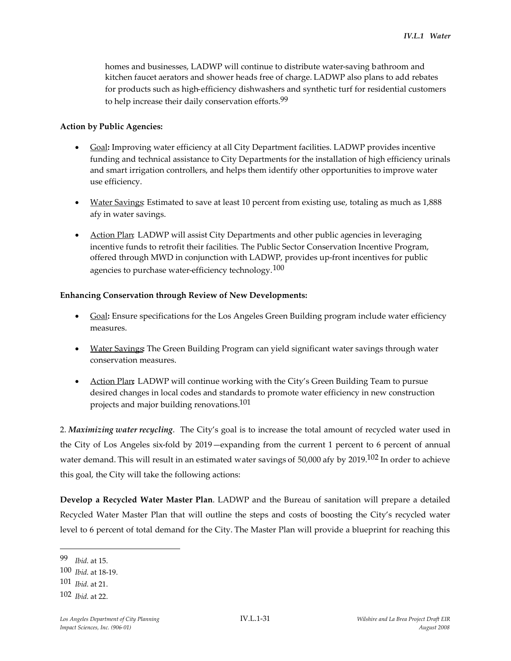homes and businesses, LADWP will continue to distribute water-saving bathroom and kitchen faucet aerators and shower heads free of charge. LADWP also plans to add rebates for products such as high-efficiency dishwashers and synthetic turf for residential customers to help increase their daily conservation efforts.<sup>99</sup>

#### **Action by Public Agencies:**

- Goal**:** Improving water efficiency at all City Department facilities. LADWP provides incentive funding and technical assistance to City Departments for the installation of high efficiency urinals and smart irrigation controllers, and helps them identify other opportunities to improve water use efficiency.
- Water Savings: Estimated to save at least 10 percent from existing use, totaling as much as 1,888 afy in water savings.
- Action Plan: LADWP will assist City Departments and other public agencies in leveraging incentive funds to retrofit their facilities. The Public Sector Conservation Incentive Program, offered through MWD in conjunction with LADWP, provides up-front incentives for public agencies to purchase water-efficiency technology.  $100$

#### **Enhancing Conservation through Review of New Developments:**

- Goal**:** Ensure specifications for the Los Angeles Green Building program include water efficiency measures.
- Water Savings**:** The Green Building Program can yield significant water savings through water conservation measures.
- Action Plan**:** LADWP will continue working with the City's Green Building Team to pursue desired changes in local codes and standards to promote water efficiency in new construction projects and major building renovations.<sup>101</sup>

2. *Maximizing water recycling*. The City's goal is to increase the total amount of recycled water used in the City of Los Angeles six-fold by 2019—expanding from the current 1 percent to 6 percent of annual water demand. This will result in an estimated water savings of 50,000 afy by 2019.102 In order to achieve this goal, the City will take the following actions:

**Develop a Recycled Water Master Plan**. LADWP and the Bureau of sanitation will prepare a detailed Recycled Water Master Plan that will outline the steps and costs of boosting the City's recycled water level to 6 percent of total demand for the City. The Master Plan will provide a blueprint for reaching this

<sup>99</sup> *Ibid*. at 15.

<sup>100</sup> *Ibid*. at 18-19.

<sup>101</sup> *Ibid*. at 21.

<sup>102</sup> *Ibid*. at 22.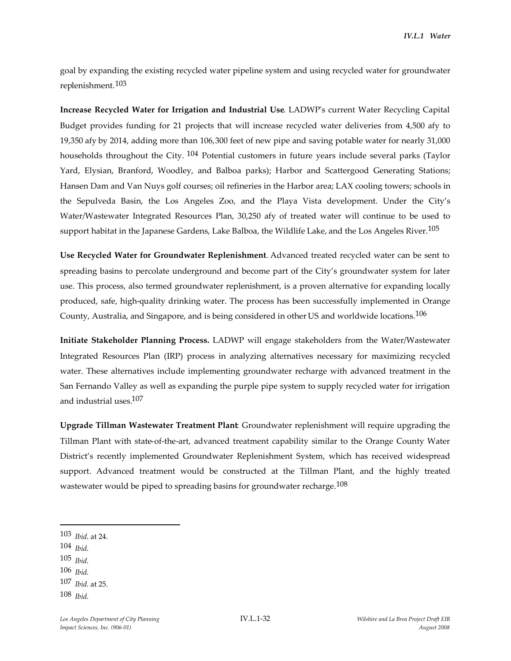goal by expanding the existing recycled water pipeline system and using recycled water for groundwater replenishment.103

**Increase Recycled Water for Irrigation and Industrial Use**. LADWP's current Water Recycling Capital Budget provides funding for 21 projects that will increase recycled water deliveries from 4,500 afy to 19,350 afy by 2014, adding more than 106,300 feet of new pipe and saving potable water for nearly 31,000 households throughout the City. <sup>104</sup> Potential customers in future years include several parks (Taylor Yard, Elysian, Branford, Woodley, and Balboa parks); Harbor and Scattergood Generating Stations; Hansen Dam and Van Nuys golf courses; oil refineries in the Harbor area; LAX cooling towers; schools in the Sepulveda Basin, the Los Angeles Zoo, and the Playa Vista development. Under the City's Water/Wastewater Integrated Resources Plan, 30,250 afy of treated water will continue to be used to support habitat in the Japanese Gardens, Lake Balboa, the Wildlife Lake, and the Los Angeles River.<sup>105</sup>

**Use Recycled Water for Groundwater Replenishment**. Advanced treated recycled water can be sent to spreading basins to percolate underground and become part of the City's groundwater system for later use. This process, also termed groundwater replenishment, is a proven alternative for expanding locally produced, safe, high-quality drinking water. The process has been successfully implemented in Orange County, Australia, and Singapore, and is being considered in other US and worldwide locations.106

**Initiate Stakeholder Planning Process.** LADWP will engage stakeholders from the Water/Wastewater Integrated Resources Plan (IRP) process in analyzing alternatives necessary for maximizing recycled water. These alternatives include implementing groundwater recharge with advanced treatment in the San Fernando Valley as well as expanding the purple pipe system to supply recycled water for irrigation and industrial uses.107

**Upgrade Tillman Wastewater Treatment Plant**: Groundwater replenishment will require upgrading the Tillman Plant with state-of-the-art, advanced treatment capability similar to the Orange County Water District's recently implemented Groundwater Replenishment System, which has received widespread support. Advanced treatment would be constructed at the Tillman Plant, and the highly treated wastewater would be piped to spreading basins for groundwater recharge.<sup>108</sup>

- 104 *Ibid*.
- 105 *Ibid*.
- 106 *Ibid*.
- 107 *Ibid*. at 25.

<sup>103</sup> *Ibid*. at 24.

<sup>108</sup> *Ibid*.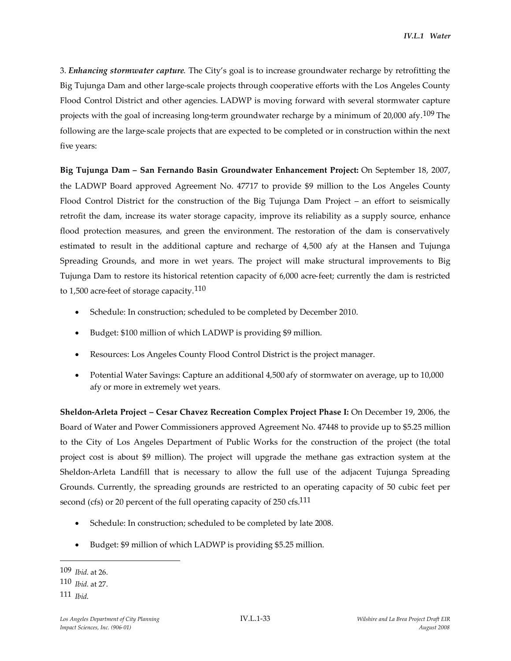3. *Enhancing stormwater capture*. The City's goal is to increase groundwater recharge by retrofitting the Big Tujunga Dam and other large-scale projects through cooperative efforts with the Los Angeles County Flood Control District and other agencies. LADWP is moving forward with several stormwater capture projects with the goal of increasing long-term groundwater recharge by a minimum of 20,000 afy.<sup>109</sup> The following are the large-scale projects that are expected to be completed or in construction within the next five years:

**Big Tujunga Dam – San Fernando Basin Groundwater Enhancement Project:** On September 18, 2007, the LADWP Board approved Agreement No. 47717 to provide \$9 million to the Los Angeles County Flood Control District for the construction of the Big Tujunga Dam Project – an effort to seismically retrofit the dam, increase its water storage capacity, improve its reliability as a supply source, enhance flood protection measures, and green the environment. The restoration of the dam is conservatively estimated to result in the additional capture and recharge of 4,500 afy at the Hansen and Tujunga Spreading Grounds, and more in wet years. The project will make structural improvements to Big Tujunga Dam to restore its historical retention capacity of 6,000 acre-feet; currently the dam is restricted to 1,500 acre-feet of storage capacity.<sup>110</sup>

- Schedule: In construction; scheduled to be completed by December 2010.
- Budget: \$100 million of which LADWP is providing \$9 million.
- Resources: Los Angeles County Flood Control District is the project manager.
- Potential Water Savings: Capture an additional 4,500 afy of stormwater on average, up to 10,000 afy or more in extremely wet years.

**Sheldon-Arleta Project – Cesar Chavez Recreation Complex Project Phase I:** On December 19, 2006, the Board of Water and Power Commissioners approved Agreement No. 47448 to provide up to \$5.25 million to the City of Los Angeles Department of Public Works for the construction of the project (the total project cost is about \$9 million). The project will upgrade the methane gas extraction system at the Sheldon-Arleta Landfill that is necessary to allow the full use of the adjacent Tujunga Spreading Grounds. Currently, the spreading grounds are restricted to an operating capacity of 50 cubic feet per second (cfs) or 20 percent of the full operating capacity of 250 cfs.<sup>111</sup>

- Schedule: In construction; scheduled to be completed by late 2008.
- Budget: \$9 million of which LADWP is providing \$5.25 million.

<sup>109</sup> *Ibid*. at 26.

<sup>110</sup> *Ibid*. at 27.

<sup>111</sup> *Ibid*.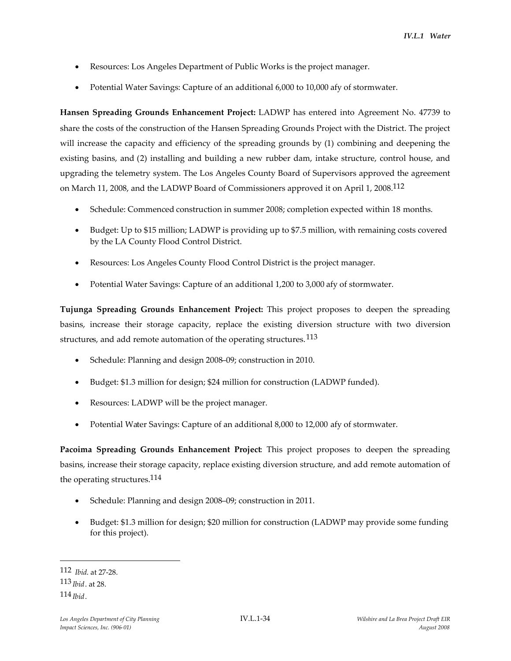- Resources: Los Angeles Department of Public Works is the project manager.
- Potential Water Savings: Capture of an additional 6,000 to 10,000 afy of stormwater.

**Hansen Spreading Grounds Enhancement Project:** LADWP has entered into Agreement No. 47739 to share the costs of the construction of the Hansen Spreading Grounds Project with the District. The project will increase the capacity and efficiency of the spreading grounds by (1) combining and deepening the existing basins, and (2) installing and building a new rubber dam, intake structure, control house, and upgrading the telemetry system. The Los Angeles County Board of Supervisors approved the agreement on March 11, 2008, and the LADWP Board of Commissioners approved it on April 1, 2008.112

- Schedule: Commenced construction in summer 2008; completion expected within 18 months.
- Budget: Up to \$15 million; LADWP is providing up to \$7.5 million, with remaining costs covered by the LA County Flood Control District.
- Resources: Los Angeles County Flood Control District is the project manager.
- Potential Water Savings: Capture of an additional 1,200 to 3,000 afy of stormwater.

**Tujunga Spreading Grounds Enhancement Project:** This project proposes to deepen the spreading basins, increase their storage capacity, replace the existing diversion structure with two diversion structures, and add remote automation of the operating structures.<sup>113</sup>

- Schedule: Planning and design 2008–09; construction in 2010.
- Budget: \$1.3 million for design; \$24 million for construction (LADWP funded).
- Resources: LADWP will be the project manager.
- Potential Water Savings: Capture of an additional 8,000 to 12,000 afy of stormwater.

**Pacoima Spreading Grounds Enhancement Project**: This project proposes to deepen the spreading basins, increase their storage capacity, replace existing diversion structure, and add remote automation of the operating structures.114

- Schedule: Planning and design 2008–09; construction in 2011.
- Budget: \$1.3 million for design; \$20 million for construction (LADWP may provide some funding for this project).

<sup>112</sup> *Ibid*. at 27-28. 113 *Ibid*. at 28. 114 *Ibid*.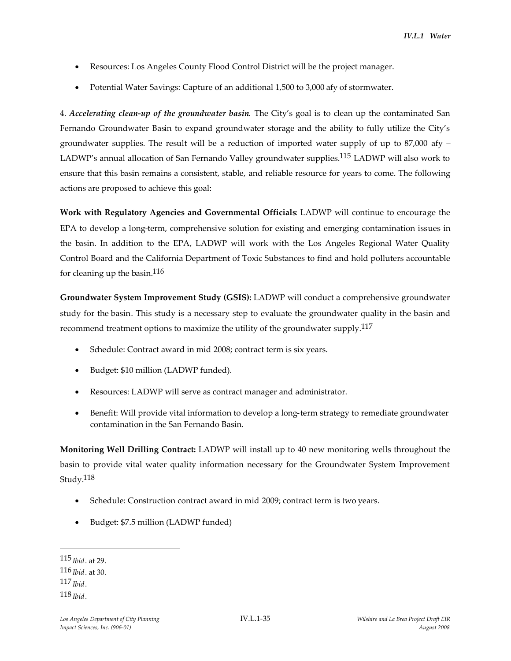- Resources: Los Angeles County Flood Control District will be the project manager.
- Potential Water Savings: Capture of an additional 1,500 to 3,000 afy of stormwater.

4. *Accelerating clean-up of the groundwater basin*. The City's goal is to clean up the contaminated San Fernando Groundwater Basin to expand groundwater storage and the ability to fully utilize the City's groundwater supplies. The result will be a reduction of imported water supply of up to  $87,000$  afy  $-$ LADWP's annual allocation of San Fernando Valley groundwater supplies.115 LADWP will also work to ensure that this basin remains a consistent, stable, and reliable resource for years to come. The following actions are proposed to achieve this goal:

**Work with Regulatory Agencies and Governmental Officials**: LADWP will continue to encourage the EPA to develop a long-term, comprehensive solution for existing and emerging contamination issues in the basin. In addition to the EPA, LADWP will work with the Los Angeles Regional Water Quality Control Board and the California Department of Toxic Substances to find and hold polluters accountable for cleaning up the basin. $116$ 

**Groundwater System Improvement Study (GSIS):** LADWP will conduct a comprehensive groundwater study for the basin. This study is a necessary step to evaluate the groundwater quality in the basin and recommend treatment options to maximize the utility of the groundwater supply.<sup>117</sup>

- Schedule: Contract award in mid 2008; contract term is six years.
- Budget: \$10 million (LADWP funded).
- Resources: LADWP will serve as contract manager and administrator.
- Benefit: Will provide vital information to develop a long-term strategy to remediate groundwater contamination in the San Fernando Basin.

**Monitoring Well Drilling Contract:** LADWP will install up to 40 new monitoring wells throughout the basin to provide vital water quality information necessary for the Groundwater System Improvement Study.118

- Schedule: Construction contract award in mid 2009; contract term is two years.
- Budget: \$7.5 million (LADWP funded)

115 *Ibid*. at 29. 116 *Ibid*. at 30. 117 *Ibid*. 118 *Ibid*.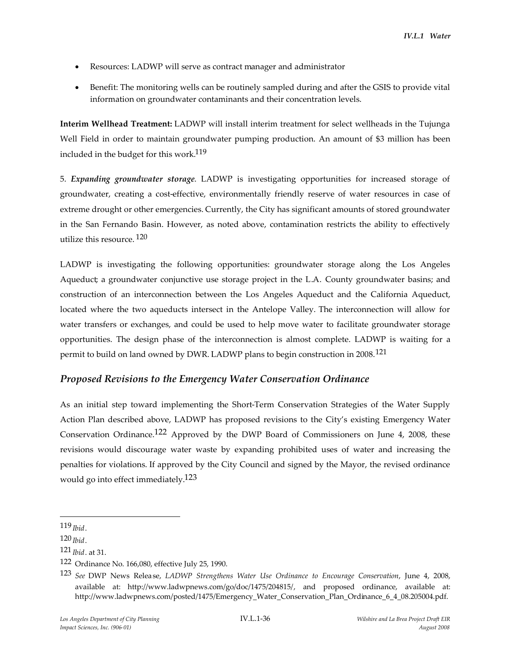- Resources: LADWP will serve as contract manager and administrator
- Benefit: The monitoring wells can be routinely sampled during and after the GSIS to provide vital information on groundwater contaminants and their concentration levels.

**Interim Wellhead Treatment:** LADWP will install interim treatment for select wellheads in the Tujunga Well Field in order to maintain groundwater pumping production. An amount of \$3 million has been included in the budget for this work.119

5. *Expanding groundwater storage*. LADWP is investigating opportunities for increased storage of groundwater, creating a cost-effective, environmentally friendly reserve of water resources in case of extreme drought or other emergencies. Currently, the City has significant amounts of stored groundwater in the San Fernando Basin. However, as noted above, contamination restricts the ability to effectively utilize this resource. 120

LADWP is investigating the following opportunities: groundwater storage along the Los Angeles Aqueduct; a groundwater conjunctive use storage project in the L.A. County groundwater basins; and construction of an interconnection between the Los Angeles Aqueduct and the California Aqueduct, located where the two aqueducts intersect in the Antelope Valley. The interconnection will allow for water transfers or exchanges, and could be used to help move water to facilitate groundwater storage opportunities. The design phase of the interconnection is almost complete. LADWP is waiting for a permit to build on land owned by DWR. LADWP plans to begin construction in 2008.121

# *Proposed Revisions to the Emergency Water Conservation Ordinance*

As an initial step toward implementing the Short-Term Conservation Strategies of the Water Supply Action Plan described above, LADWP has proposed revisions to the City's existing Emergency Water Conservation Ordinance.<sup>122</sup> Approved by the DWP Board of Commissioners on June 4, 2008, these revisions would discourage water waste by expanding prohibited uses of water and increasing the penalties for violations. If approved by the City Council and signed by the Mayor, the revised ordinance would go into effect immediately.<sup>123</sup>

<sup>119</sup> *Ibid*.

<sup>120</sup> *Ibid*.

<sup>121</sup> *Ibid*. at 31.

<sup>122</sup> Ordinance No. 166,080, effective July 25, 1990.

<sup>123</sup> *See* DWP News Release, *LADWP Strengthens Water Use Ordinance to Encourage Conservation*, June 4, 2008, available at: http://www.ladwpnews.com/go/doc/1475/204815/, and proposed ordinance, available at: http://www.ladwpnews.com/posted/1475/Emergency\_Water\_Conservation\_Plan\_Ordinance\_6\_4\_08.205004.pdf.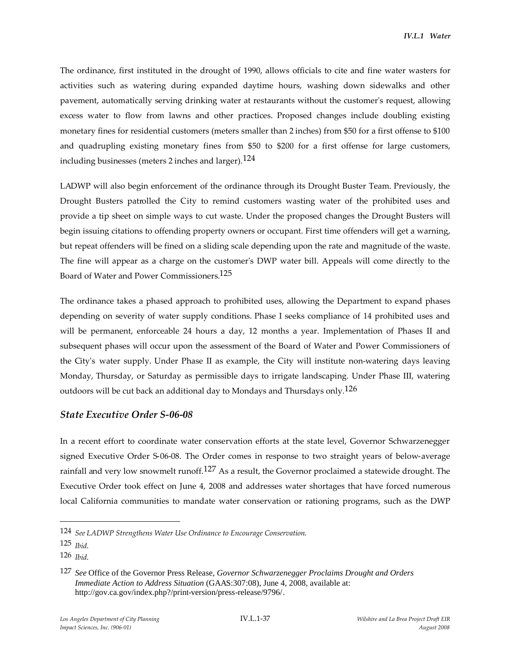The ordinance, first instituted in the drought of 1990, allows officials to cite and fine water wasters for activities such as watering during expanded daytime hours, washing down sidewalks and other pavement, automatically serving drinking water at restaurants without the customer's request, allowing excess water to flow from lawns and other practices. Proposed changes include doubling existing monetary fines for residential customers (meters smaller than 2 inches) from \$50 for a first offense to \$100 and quadrupling existing monetary fines from \$50 to \$200 for a first offense for large customers, including businesses (meters 2 inches and larger).124

LADWP will also begin enforcement of the ordinance through its Drought Buster Team. Previously, the Drought Busters patrolled the City to remind customers wasting water of the prohibited uses and provide a tip sheet on simple ways to cut waste. Under the proposed changes the Drought Busters will begin issuing citations to offending property owners or occupant. First time offenders will get a warning, but repeat offenders will be fined on a sliding scale depending upon the rate and magnitude of the waste. The fine will appear as a charge on the customer's DWP water bill. Appeals will come directly to the Board of Water and Power Commissioners.125

The ordinance takes a phased approach to prohibited uses, allowing the Department to expand phases depending on severity of water supply conditions. Phase I seeks compliance of 14 prohibited uses and will be permanent, enforceable 24 hours a day, 12 months a year. Implementation of Phases II and subsequent phases will occur upon the assessment of the Board of Water and Power Commissioners of the City's water supply. Under Phase II as example, the City will institute non-watering days leaving Monday, Thursday, or Saturday as permissible days to irrigate landscaping. Under Phase III, watering outdoors will be cut back an additional day to Mondays and Thursdays only.<sup>126</sup>

## *State Executive Order S-06-08*

In a recent effort to coordinate water conservation efforts at the state level, Governor Schwarzenegger signed Executive Order S-06-08. The Order comes in response to two straight years of below-average rainfall and very low snowmelt runoff.<sup>127</sup> As a result, the Governor proclaimed a statewide drought. The Executive Order took effect on June 4, 2008 and addresses water shortages that have forced numerous local California communities to mandate water conservation or rationing programs, such as the DWP

<sup>124</sup> *See LADWP Strengthens Water Use Ordinance to Encourage Conservation*.

<sup>125</sup> *Ibid*.

<sup>126</sup> *Ibid*.

<sup>127</sup> *See* Office of the Governor Press Release, *Governor Schwarzenegger Proclaims Drought and Orders Immediate Action to Address Situation* (GAAS:307:08), June 4, 2008, available at: http://gov.ca.gov/index.php?/print-version/press-release/9796/.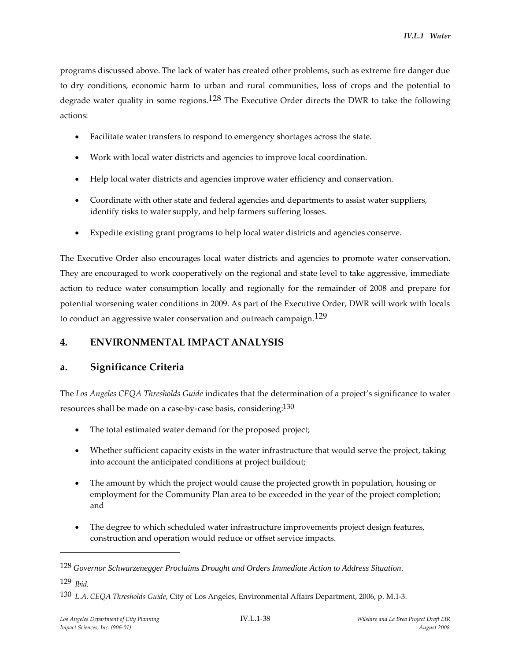programs discussed above. The lack of water has created other problems, such as extreme fire danger due to dry conditions, economic harm to urban and rural communities, loss of crops and the potential to degrade water quality in some regions.<sup>128</sup> The Executive Order directs the DWR to take the following actions:

- Facilitate water transfers to respond to emergency shortages across the state.
- Work with local water districts and agencies to improve local coordination.
- Help local water districts and agencies improve water efficiency and conservation.
- Coordinate with other state and federal agencies and departments to assist water suppliers, identify risks to water supply, and help farmers suffering losses.
- Expedite existing grant programs to help local water districts and agencies conserve.

The Executive Order also encourages local water districts and agencies to promote water conservation. They are encouraged to work cooperatively on the regional and state level to take aggressive, immediate action to reduce water consumption locally and regionally for the remainder of 2008 and prepare for potential worsening water conditions in 2009. As part of the Executive Order, DWR will work with locals to conduct an aggressive water conservation and outreach campaign.<sup>129</sup>

# **4. ENVIRONMENTAL IMPACT ANALYSIS**

# **a. Significance Criteria**

The *Los Angeles CEQA Thresholds Guide* indicates that the determination of a project's significance to water resources shall be made on a case-by-case basis, considering: $^{130}$ 

- The total estimated water demand for the proposed project;
- Whether sufficient capacity exists in the water infrastructure that would serve the project, taking into account the anticipated conditions at project buildout;
- The amount by which the project would cause the projected growth in population, housing or employment for the Community Plan area to be exceeded in the year of the project completion; and
- The degree to which scheduled water infrastructure improvements project design features, construction and operation would reduce or offset service impacts.

129 *Ibid*.

<sup>128</sup> *Governor Schwarzenegger Proclaims Drought and Orders Immediate Action to Address Situation*.

<sup>130</sup> *L.A. CEQA Thresholds Guide*, City of Los Angeles, Environmental Affairs Department, 2006, p. M.1-3.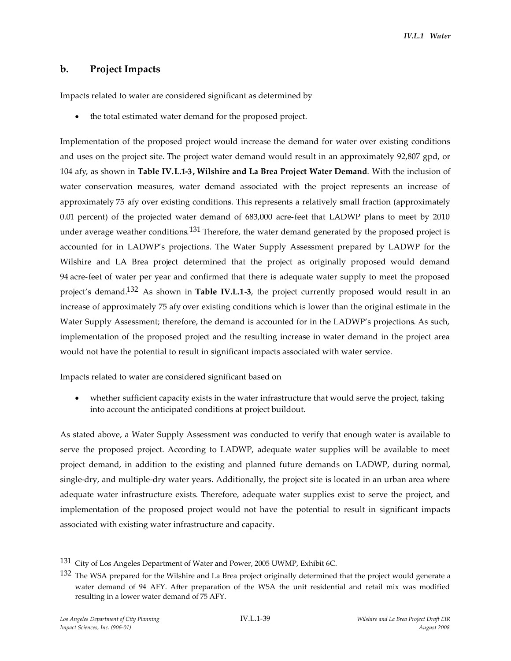## **b. Project Impacts**

Impacts related to water are considered significant as determined by

the total estimated water demand for the proposed project.

Implementation of the proposed project would increase the demand for water over existing conditions and uses on the project site. The project water demand would result in an approximately 92,807 gpd, or 104 afy, as shown in **Table IV.L.1-3, Wilshire and La Brea Project Water Demand**. With the inclusion of water conservation measures, water demand associated with the project represents an increase of approximately 75 afy over existing conditions. This represents a relatively small fraction (approximately 0.01 percent) of the projected water demand of 683,000 acre-feet that LADWP plans to meet by 2010 under average weather conditions.<sup>131</sup> Therefore, the water demand generated by the proposed project is accounted for in LADWP's projections. The Water Supply Assessment prepared by LADWP for the Wilshire and LA Brea project determined that the project as originally proposed would demand 94 acre-feet of water per year and confirmed that there is adequate water supply to meet the proposed project's demand.132 As shown in **Table IV.L.1-3**, the project currently proposed would result in an increase of approximately 75 afy over existing conditions which is lower than the original estimate in the Water Supply Assessment; therefore, the demand is accounted for in the LADWP's projections. As such, implementation of the proposed project and the resulting increase in water demand in the project area would not have the potential to result in significant impacts associated with water service.

Impacts related to water are considered significant based on

 whether sufficient capacity exists in the water infrastructure that would serve the project, taking into account the anticipated conditions at project buildout.

As stated above, a Water Supply Assessment was conducted to verify that enough water is available to serve the proposed project. According to LADWP, adequate water supplies will be available to meet project demand, in addition to the existing and planned future demands on LADWP, during normal, single-dry, and multiple-dry water years. Additionally, the project site is located in an urban area where adequate water infrastructure exists. Therefore, adequate water supplies exist to serve the project, and implementation of the proposed project would not have the potential to result in significant impacts associated with existing water infrastructure and capacity.

<sup>&</sup>lt;sup>131</sup> City of Los Angeles Department of Water and Power, 2005 UWMP, Exhibit 6C.

<sup>&</sup>lt;sup>132</sup> The WSA prepared for the Wilshire and La Brea project originally determined that the project would generate a water demand of 94 AFY. After preparation of the WSA the unit residential and retail mix was modified resulting in a lower water demand of 75 AFY.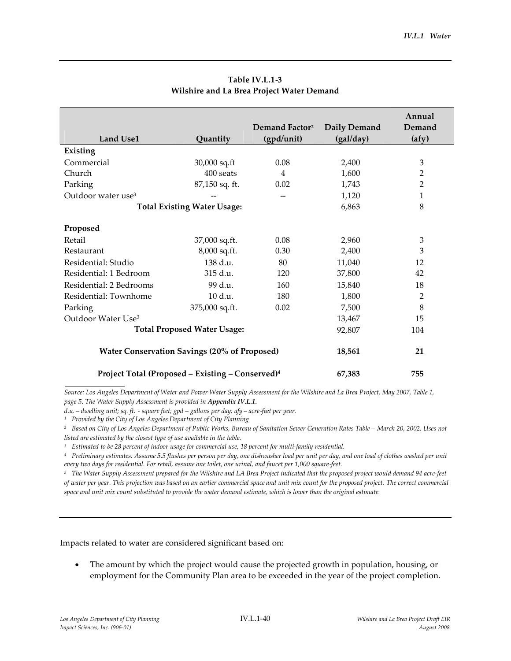|                                                              |                |                            |              | Annual         |
|--------------------------------------------------------------|----------------|----------------------------|--------------|----------------|
|                                                              |                | Demand Factor <sup>2</sup> | Daily Demand | Demand         |
| <b>Land Use1</b>                                             | Quantity       | (gpd/unit)                 | (gal/day)    | (afy)          |
| Existing                                                     |                |                            |              |                |
| Commercial                                                   | 30,000 sq.ft   | 0.08                       | 2,400        | 3              |
| Church                                                       | 400 seats      | 4                          | 1,600        | 2              |
| Parking                                                      | 87,150 sq. ft. | 0.02                       | 1,743        | $\overline{2}$ |
| Outdoor water use <sup>3</sup>                               |                | --                         | 1,120        | 1              |
| <b>Total Existing Water Usage:</b>                           |                | 6,863                      | 8            |                |
| Proposed                                                     |                |                            |              |                |
| Retail                                                       | 37,000 sq.ft.  | 0.08                       | 2,960        | 3              |
| Restaurant                                                   | 8,000 sq.ft.   | 0.30                       | 2,400        | 3              |
| Residential: Studio                                          | 138 d.u.       | 80                         | 11,040       | 12             |
| Residential: 1 Bedroom                                       | 315 d.u.       | 120                        | 37,800       | 42             |
| Residential: 2 Bedrooms                                      | 99 d.u.        | 160                        | 15,840       | 18             |
| Residential: Townhome                                        | 10 d.u.        | 180                        | 1,800        | $\overline{2}$ |
| Parking                                                      | 375,000 sq.ft. | 0.02                       | 7,500        | 8              |
| Outdoor Water Use <sup>3</sup>                               |                |                            | 13,467       | 15             |
| <b>Total Proposed Water Usage:</b>                           | 92,807         | 104                        |              |                |
| <b>Water Conservation Savings (20% of Proposed)</b>          | 18,561         | 21                         |              |                |
| Project Total (Proposed - Existing - Conserved) <sup>4</sup> | 67,383         | 755                        |              |                |

# **Table IV.L.1-3 Wilshire and La Brea Project Water Demand**

*Source: Los Angeles Department of Water and Power Water Supply Assessment for the Wilshire and La Brea Project, May 2007, Table 1, page 5. The Water Supply Assessment is provided in Appendix IV.L.1.*

*d.u. – dwelling unit; sq. ft. - square feet; gpd – gallons per day; afy – acre-feet per year.*

*<sup>1</sup> Provided by the City of Los Angeles Department of City Planning*

*<sup>2</sup> Based on City of Los Angeles Department of Public Works, Bureau of Sanitation Sewer Generation Rates Table – March 20, 2002. Uses not listed are estimated by the closest type of use available in the table.*

*<sup>3</sup> Estimated to be 28 percent of indoor usage for commercial use, 18 percent for multi-family residential.*

*<sup>4</sup> Preliminary estimates: Assume 5.5 flushes per person per day, one dishwasher load per unit per day, and one load of clothes washed per unit every two days for residential. For retail, assume one toilet, one urinal, and faucet per 1,000 square-feet.*

*<sup>5</sup> The Water Supply Assessment prepared for the Wilshire and LA Brea Project indicated that the proposed project would demand 94 acre-feet of water per year. This projection was based on an earlier commercial space and unit mix count for the proposed project. The correct commercial space and unit mix count substituted to provide the water demand estimate, which is lower than the original estimate.*

Impacts related to water are considered significant based on:

 The amount by which the project would cause the projected growth in population, housing, or employment for the Community Plan area to be exceeded in the year of the project completion.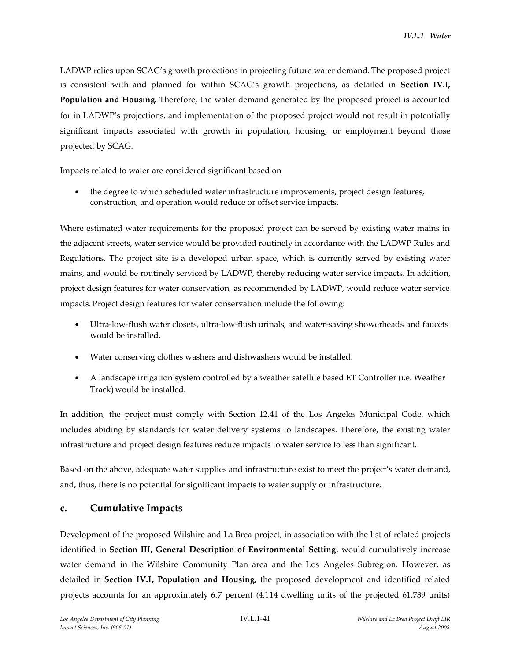LADWP relies upon SCAG's growth projections in projecting future water demand. The proposed project is consistent with and planned for within SCAG's growth projections, as detailed in **Section IV.I, Population and Housing**. Therefore, the water demand generated by the proposed project is accounted for in LADWP's projections, and implementation of the proposed project would not result in potentially significant impacts associated with growth in population, housing, or employment beyond those projected by SCAG.

Impacts related to water are considered significant based on

 the degree to which scheduled water infrastructure improvements, project design features, construction, and operation would reduce or offset service impacts.

Where estimated water requirements for the proposed project can be served by existing water mains in the adjacent streets, water service would be provided routinely in accordance with the LADWP Rules and Regulations. The project site is a developed urban space, which is currently served by existing water mains, and would be routinely serviced by LADWP, thereby reducing water service impacts. In addition, project design features for water conservation, as recommended by LADWP, would reduce water service impacts. Project design features for water conservation include the following:

- Ultra-low-flush water closets, ultra-low-flush urinals, and water-saving showerheads and faucets would be installed.
- Water conserving clothes washers and dishwashers would be installed.
- A landscape irrigation system controlled by a weather satellite based ET Controller (i.e. Weather Track) would be installed.

In addition, the project must comply with Section 12.41 of the Los Angeles Municipal Code, which includes abiding by standards for water delivery systems to landscapes. Therefore, the existing water infrastructure and project design features reduce impacts to water service to less than significant.

Based on the above, adequate water supplies and infrastructure exist to meet the project's water demand, and, thus, there is no potential for significant impacts to water supply or infrastructure.

## **c. Cumulative Impacts**

Development of the proposed Wilshire and La Brea project, in association with the list of related projects identified in **Section III, General Description of Environmental Setting**, would cumulatively increase water demand in the Wilshire Community Plan area and the Los Angeles Subregion. However, as detailed in **Section IV.I, Population and Housing**, the proposed development and identified related projects accounts for an approximately 6.7 percent (4,114 dwelling units of the projected 61,739 units)